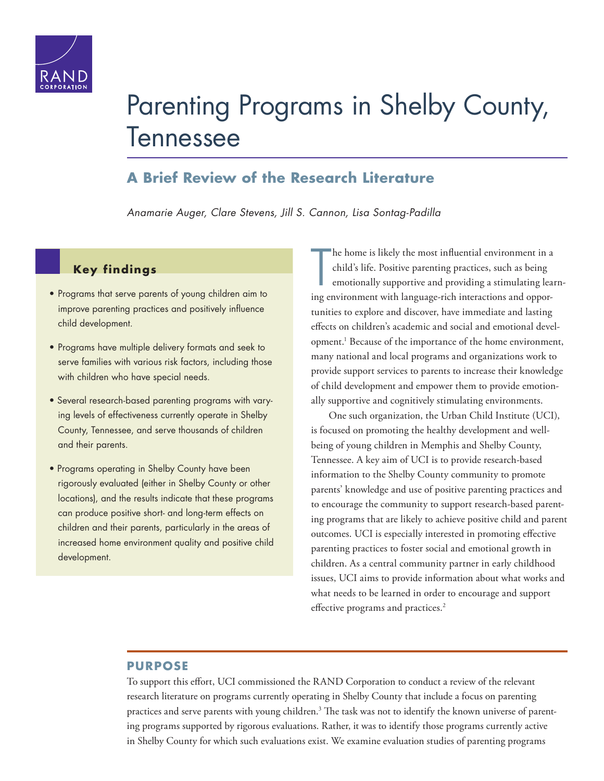

# [Parenting Programs in Shelby County,](http://www.rand.org/pubs/research_reports/RR1398.html)  Tennessee

### **A Brief Review of the Research Literature**

*Anamarie Auger, Clare Stevens, Jill S. Cannon, Lisa Sontag-Padilla*

#### **Key findings**

- Programs that serve parents of young children aim to improve parenting practices and positively influence child development.
- Programs have multiple delivery formats and seek to serve families with various risk factors, including those with children who have special needs.
- Several research-based parenting programs with varying levels of effectiveness currently operate in Shelby County, Tennessee, and serve thousands of children and their parents.
- Programs operating in Shelby County have been rigorously evaluated (either in Shelby County or other locations), and the results indicate that these programs can produce positive short- and long-term effects on children and their parents, particularly in the areas of increased home environment quality and positive child development.

T he home is likely the most influential environment in a child's life. Positive parenting practices, such as being emotionally supportive and providing a stimulating learning environment with language-rich interactions and opportunities to explore and discover, have immediate and lasting effects on children's academic and social and emotional development.1 Because of the importance of the home environment, many national and local programs and organizations work to provide support services to parents to increase their knowledge of child development and empower them to provide emotionally supportive and cognitively stimulating environments.

One such organization, the Urban Child Institute (UCI), is focused on promoting the healthy development and wellbeing of young children in Memphis and Shelby County, Tennessee. A key aim of UCI is to provide research-based information to the Shelby County community to promote parents' knowledge and use of positive parenting practices and to encourage the community to support research-based parenting programs that are likely to achieve positive child and parent outcomes. UCI is especially interested in promoting effective parenting practices to foster social and emotional growth in children. As a central community partner in early childhood issues, UCI aims to provide information about what works and what needs to be learned in order to encourage and support effective programs and practices.<sup>2</sup>

#### **PURPOSE**

To support this effort, UCI commissioned the RAND Corporation to conduct a review of the relevant research literature on programs currently operating in Shelby County that include a focus on parenting practices and serve parents with young children.<sup>3</sup> The task was not to identify the known universe of parenting programs supported by rigorous evaluations. Rather, it was to identify those programs currently active in Shelby County for which such evaluations exist. We examine evaluation studies of parenting programs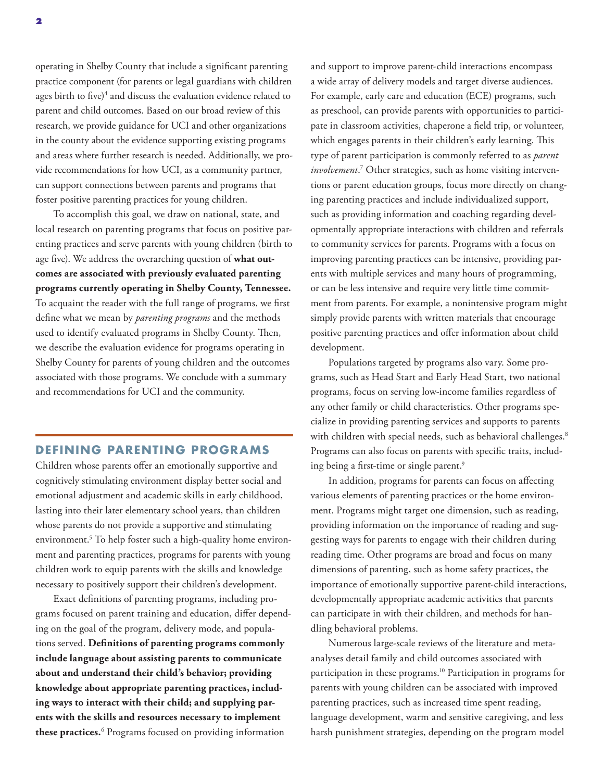operating in Shelby County that include a significant parenting practice component (for parents or legal guardians with children ages birth to five)<sup>4</sup> and discuss the evaluation evidence related to parent and child outcomes. Based on our broad review of this research, we provide guidance for UCI and other organizations in the county about the evidence supporting existing programs and areas where further research is needed. Additionally, we provide recommendations for how UCI, as a community partner, can support connections between parents and programs that foster positive parenting practices for young children.

To accomplish this goal, we draw on national, state, and local research on parenting programs that focus on positive parenting practices and serve parents with young children (birth to age five). We address the overarching question of **what outcomes are associated with previously evaluated parenting programs currently operating in Shelby County, Tennessee.** To acquaint the reader with the full range of programs, we first define what we mean by *parenting programs* and the methods used to identify evaluated programs in Shelby County. Then, we describe the evaluation evidence for programs operating in Shelby County for parents of young children and the outcomes associated with those programs. We conclude with a summary and recommendations for UCI and the community.

#### **DEFINING PARENTING PROGRAMS**

Children whose parents offer an emotionally supportive and cognitively stimulating environment display better social and emotional adjustment and academic skills in early childhood, lasting into their later elementary school years, than children whose parents do not provide a supportive and stimulating environment.5 To help foster such a high-quality home environment and parenting practices, programs for parents with young children work to equip parents with the skills and knowledge necessary to positively support their children's development.

Exact definitions of parenting programs, including programs focused on parent training and education, differ depending on the goal of the program, delivery mode, and populations served. **Definitions of parenting programs commonly include language about assisting parents to communicate about and understand their child's behavior; providing knowledge about appropriate parenting practices, including ways to interact with their child; and supplying parents with the skills and resources necessary to implement**  these practices.<sup>6</sup> Programs focused on providing information

and support to improve parent-child interactions encompass a wide array of delivery models and target diverse audiences. For example, early care and education (ECE) programs, such as preschool, can provide parents with opportunities to participate in classroom activities, chaperone a field trip, or volunteer, which engages parents in their children's early learning. This type of parent participation is commonly referred to as *parent involvement*. 7 Other strategies, such as home visiting interventions or parent education groups, focus more directly on changing parenting practices and include individualized support, such as providing information and coaching regarding developmentally appropriate interactions with children and referrals to community services for parents. Programs with a focus on improving parenting practices can be intensive, providing parents with multiple services and many hours of programming, or can be less intensive and require very little time commitment from parents. For example, a nonintensive program might simply provide parents with written materials that encourage positive parenting practices and offer information about child development.

Populations targeted by programs also vary. Some programs, such as Head Start and Early Head Start, two national programs, focus on serving low-income families regardless of any other family or child characteristics. Other programs specialize in providing parenting services and supports to parents with children with special needs, such as behavioral challenges.<sup>8</sup> Programs can also focus on parents with specific traits, including being a first-time or single parent.<sup>9</sup>

In addition, programs for parents can focus on affecting various elements of parenting practices or the home environment. Programs might target one dimension, such as reading, providing information on the importance of reading and suggesting ways for parents to engage with their children during reading time. Other programs are broad and focus on many dimensions of parenting, such as home safety practices, the importance of emotionally supportive parent-child interactions, developmentally appropriate academic activities that parents can participate in with their children, and methods for handling behavioral problems.

Numerous large-scale reviews of the literature and metaanalyses detail family and child outcomes associated with participation in these programs.<sup>10</sup> Participation in programs for parents with young children can be associated with improved parenting practices, such as increased time spent reading, language development, warm and sensitive caregiving, and less harsh punishment strategies, depending on the program model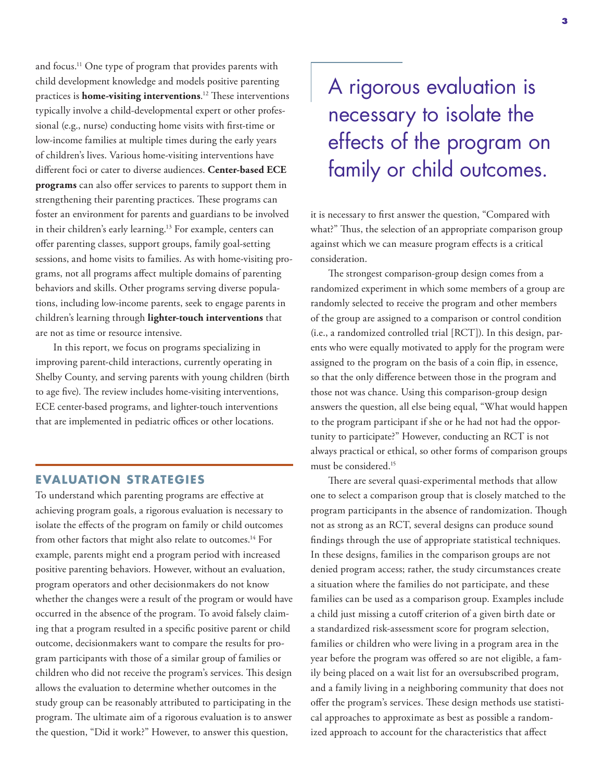and focus.11 One type of program that provides parents with child development knowledge and models positive parenting practices is **home-visiting interventions**. 12 These interventions typically involve a child-developmental expert or other professional (e.g., nurse) conducting home visits with first-time or low-income families at multiple times during the early years of children's lives. Various home-visiting interventions have different foci or cater to diverse audiences. **Center-based ECE programs** can also offer services to parents to support them in strengthening their parenting practices. These programs can foster an environment for parents and guardians to be involved in their children's early learning.<sup>13</sup> For example, centers can offer parenting classes, support groups, family goal-setting sessions, and home visits to families. As with home-visiting programs, not all programs affect multiple domains of parenting behaviors and skills. Other programs serving diverse populations, including low-income parents, seek to engage parents in children's learning through **lighter-touch interventions** that are not as time or resource intensive.

In this report, we focus on programs specializing in improving parent-child interactions, currently operating in Shelby County, and serving parents with young children (birth to age five). The review includes home-visiting interventions, ECE center-based programs, and lighter-touch interventions that are implemented in pediatric offices or other locations.

#### **EVALUATION STRATEGIES**

To understand which parenting programs are effective at achieving program goals, a rigorous evaluation is necessary to isolate the effects of the program on family or child outcomes from other factors that might also relate to outcomes.<sup>14</sup> For example, parents might end a program period with increased positive parenting behaviors. However, without an evaluation, program operators and other decisionmakers do not know whether the changes were a result of the program or would have occurred in the absence of the program. To avoid falsely claiming that a program resulted in a specific positive parent or child outcome, decisionmakers want to compare the results for program participants with those of a similar group of families or children who did not receive the program's services. This design allows the evaluation to determine whether outcomes in the study group can be reasonably attributed to participating in the program. The ultimate aim of a rigorous evaluation is to answer the question, "Did it work?" However, to answer this question,

## A rigorous evaluation is necessary to isolate the effects of the program on family or child outcomes.

it is necessary to first answer the question, "Compared with what?" Thus, the selection of an appropriate comparison group against which we can measure program effects is a critical consideration.

The strongest comparison-group design comes from a randomized experiment in which some members of a group are randomly selected to receive the program and other members of the group are assigned to a comparison or control condition (i.e., a randomized controlled trial [RCT]). In this design, parents who were equally motivated to apply for the program were assigned to the program on the basis of a coin flip, in essence, so that the only difference between those in the program and those not was chance. Using this comparison-group design answers the question, all else being equal, "What would happen to the program participant if she or he had not had the opportunity to participate?" However, conducting an RCT is not always practical or ethical, so other forms of comparison groups must be considered.15

There are several quasi-experimental methods that allow one to select a comparison group that is closely matched to the program participants in the absence of randomization. Though not as strong as an RCT, several designs can produce sound findings through the use of appropriate statistical techniques. In these designs, families in the comparison groups are not denied program access; rather, the study circumstances create a situation where the families do not participate, and these families can be used as a comparison group. Examples include a child just missing a cutoff criterion of a given birth date or a standardized risk-assessment score for program selection, families or children who were living in a program area in the year before the program was offered so are not eligible, a family being placed on a wait list for an oversubscribed program, and a family living in a neighboring community that does not offer the program's services. These design methods use statistical approaches to approximate as best as possible a randomized approach to account for the characteristics that affect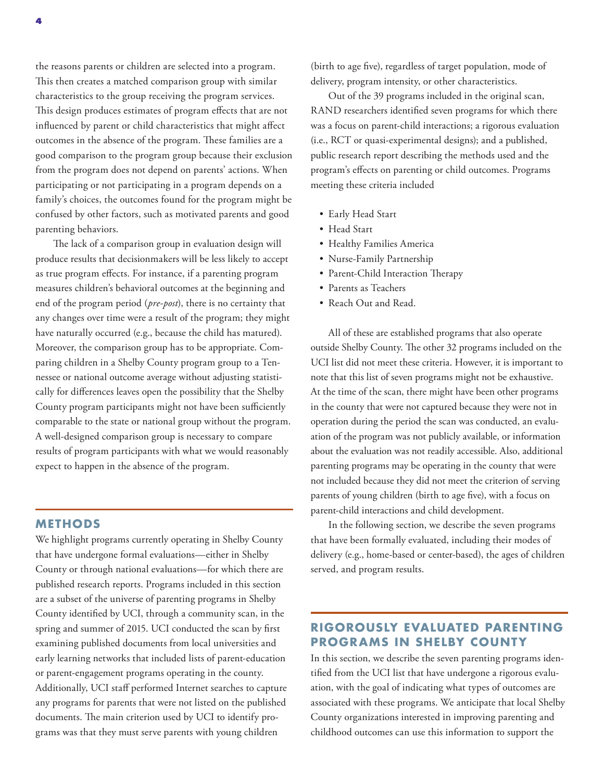the reasons parents or children are selected into a program. This then creates a matched comparison group with similar characteristics to the group receiving the program services. This design produces estimates of program effects that are not influenced by parent or child characteristics that might affect outcomes in the absence of the program. These families are a good comparison to the program group because their exclusion from the program does not depend on parents' actions. When participating or not participating in a program depends on a family's choices, the outcomes found for the program might be confused by other factors, such as motivated parents and good parenting behaviors.

The lack of a comparison group in evaluation design will produce results that decisionmakers will be less likely to accept as true program effects. For instance, if a parenting program measures children's behavioral outcomes at the beginning and end of the program period (*pre-post*), there is no certainty that any changes over time were a result of the program; they might have naturally occurred (e.g., because the child has matured). Moreover, the comparison group has to be appropriate. Comparing children in a Shelby County program group to a Tennessee or national outcome average without adjusting statistically for differences leaves open the possibility that the Shelby County program participants might not have been sufficiently comparable to the state or national group without the program. A well-designed comparison group is necessary to compare results of program participants with what we would reasonably expect to happen in the absence of the program.

#### **METHODS**

We highlight programs currently operating in Shelby County that have undergone formal evaluations—either in Shelby County or through national evaluations—for which there are published research reports. Programs included in this section are a subset of the universe of parenting programs in Shelby County identified by UCI, through a community scan, in the spring and summer of 2015. UCI conducted the scan by first examining published documents from local universities and early learning networks that included lists of parent-education or parent-engagement programs operating in the county. Additionally, UCI staff performed Internet searches to capture any programs for parents that were not listed on the published documents. The main criterion used by UCI to identify programs was that they must serve parents with young children

(birth to age five), regardless of target population, mode of delivery, program intensity, or other characteristics.

Out of the 39 programs included in the original scan, RAND researchers identified seven programs for which there was a focus on parent-child interactions; a rigorous evaluation (i.e., RCT or quasi-experimental designs); and a published, public research report describing the methods used and the program's effects on parenting or child outcomes. Programs meeting these criteria included

- Early Head Start
- Head Start
- Healthy Families America
- Nurse-Family Partnership
- Parent-Child Interaction Therapy
- Parents as Teachers
- Reach Out and Read.

All of these are established programs that also operate outside Shelby County. The other 32 programs included on the UCI list did not meet these criteria. However, it is important to note that this list of seven programs might not be exhaustive. At the time of the scan, there might have been other programs in the county that were not captured because they were not in operation during the period the scan was conducted, an evaluation of the program was not publicly available, or information about the evaluation was not readily accessible. Also, additional parenting programs may be operating in the county that were not included because they did not meet the criterion of serving parents of young children (birth to age five), with a focus on parent-child interactions and child development.

In the following section, we describe the seven programs that have been formally evaluated, including their modes of delivery (e.g., home-based or center-based), the ages of children served, and program results.

#### **RIGOROUSLY EVALUATED PARENTING PROGRAMS IN SHELBY COUNTY**

In this section, we describe the seven parenting programs identified from the UCI list that have undergone a rigorous evaluation, with the goal of indicating what types of outcomes are associated with these programs. We anticipate that local Shelby County organizations interested in improving parenting and childhood outcomes can use this information to support the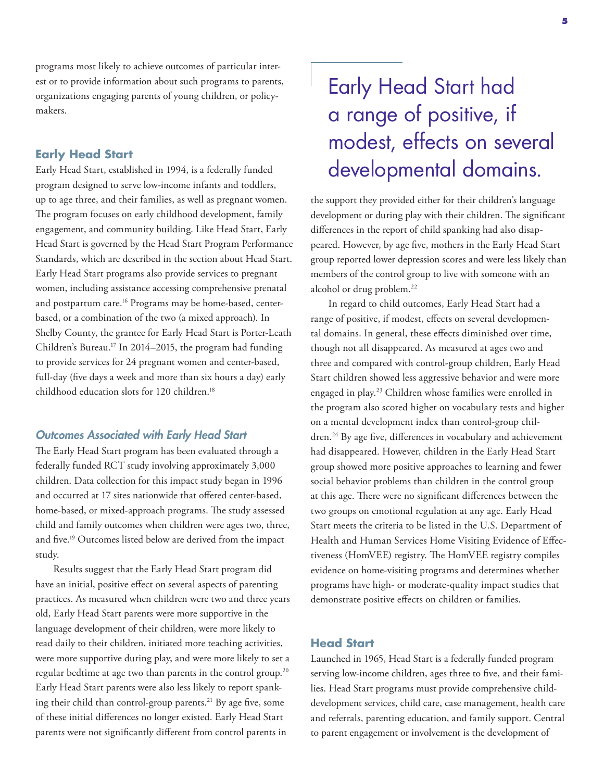programs most likely to achieve outcomes of particular interest or to provide information about such programs to parents, organizations engaging parents of young children, or policymakers.

#### **Early Head Start**

Early Head Start, established in 1994, is a federally funded program designed to serve low-income infants and toddlers, up to age three, and their families, as well as pregnant women. The program focuses on early childhood development, family engagement, and community building. Like Head Start, Early Head Start is governed by the Head Start Program Performance Standards, which are described in the section about Head Start. Early Head Start programs also provide services to pregnant women, including assistance accessing comprehensive prenatal and postpartum care.<sup>16</sup> Programs may be home-based, centerbased, or a combination of the two (a mixed approach). In Shelby County, the grantee for Early Head Start is Porter-Leath Children's Bureau.17 In 2014–2015, the program had funding to provide services for 24 pregnant women and center-based, full-day (five days a week and more than six hours a day) early childhood education slots for 120 children.<sup>18</sup>

#### *Outcomes Associated with Early Head Start*

The Early Head Start program has been evaluated through a federally funded RCT study involving approximately 3,000 children. Data collection for this impact study began in 1996 and occurred at 17 sites nationwide that offered center-based, home-based, or mixed-approach programs. The study assessed child and family outcomes when children were ages two, three, and five.19 Outcomes listed below are derived from the impact study.

Results suggest that the Early Head Start program did have an initial, positive effect on several aspects of parenting practices. As measured when children were two and three years old, Early Head Start parents were more supportive in the language development of their children, were more likely to read daily to their children, initiated more teaching activities, were more supportive during play, and were more likely to set a regular bedtime at age two than parents in the control group.<sup>20</sup> Early Head Start parents were also less likely to report spanking their child than control-group parents.<sup>21</sup> By age five, some of these initial differences no longer existed. Early Head Start parents were not significantly different from control parents in

## Early Head Start had a range of positive, if modest, effects on several developmental domains.

the support they provided either for their children's language development or during play with their children. The significant differences in the report of child spanking had also disappeared. However, by age five, mothers in the Early Head Start group reported lower depression scores and were less likely than members of the control group to live with someone with an alcohol or drug problem.22

In regard to child outcomes, Early Head Start had a range of positive, if modest, effects on several developmental domains. In general, these effects diminished over time, though not all disappeared. As measured at ages two and three and compared with control-group children, Early Head Start children showed less aggressive behavior and were more engaged in play.23 Children whose families were enrolled in the program also scored higher on vocabulary tests and higher on a mental development index than control-group children.<sup>24</sup> By age five, differences in vocabulary and achievement had disappeared. However, children in the Early Head Start group showed more positive approaches to learning and fewer social behavior problems than children in the control group at this age. There were no significant differences between the two groups on emotional regulation at any age. Early Head Start meets the criteria to be listed in the U.S. Department of Health and Human Services Home Visiting Evidence of Effectiveness (HomVEE) registry. The HomVEE registry compiles evidence on home-visiting programs and determines whether programs have high- or moderate-quality impact studies that demonstrate positive effects on children or families.

#### **Head Start**

Launched in 1965, Head Start is a federally funded program serving low-income children, ages three to five, and their families. Head Start programs must provide comprehensive childdevelopment services, child care, case management, health care and referrals, parenting education, and family support. Central to parent engagement or involvement is the development of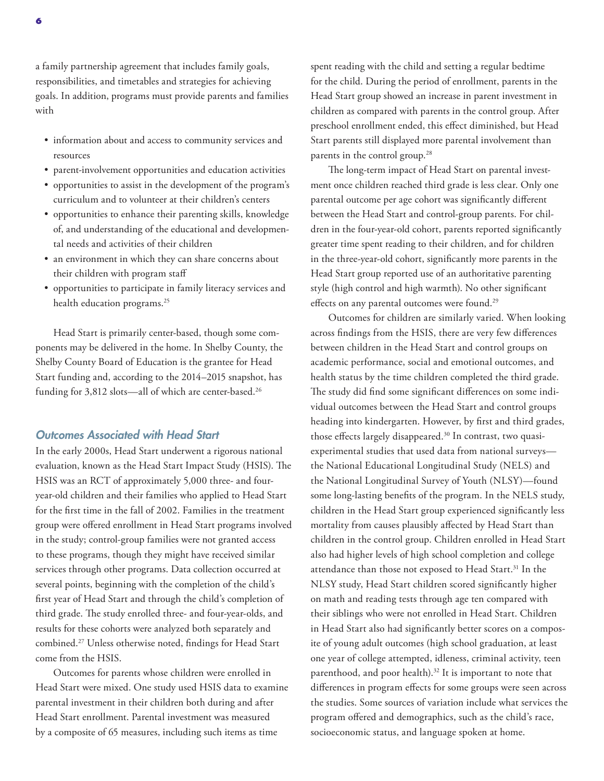a family partnership agreement that includes family goals, responsibilities, and timetables and strategies for achieving goals. In addition, programs must provide parents and families with

- information about and access to community services and resources
- parent-involvement opportunities and education activities
- opportunities to assist in the development of the program's curriculum and to volunteer at their children's centers
- opportunities to enhance their parenting skills, knowledge of, and understanding of the educational and developmental needs and activities of their children
- an environment in which they can share concerns about their children with program staff
- opportunities to participate in family literacy services and health education programs.<sup>25</sup>

Head Start is primarily center-based, though some components may be delivered in the home. In Shelby County, the Shelby County Board of Education is the grantee for Head Start funding and, according to the 2014–2015 snapshot, has funding for 3,812 slots—all of which are center-based.<sup>26</sup>

#### *Outcomes Associated with Head Start*

In the early 2000s, Head Start underwent a rigorous national evaluation, known as the Head Start Impact Study (HSIS). The HSIS was an RCT of approximately 5,000 three- and fouryear-old children and their families who applied to Head Start for the first time in the fall of 2002. Families in the treatment group were offered enrollment in Head Start programs involved in the study; control-group families were not granted access to these programs, though they might have received similar services through other programs. Data collection occurred at several points, beginning with the completion of the child's first year of Head Start and through the child's completion of third grade. The study enrolled three- and four-year-olds, and results for these cohorts were analyzed both separately and combined.27 Unless otherwise noted, findings for Head Start come from the HSIS.

Outcomes for parents whose children were enrolled in Head Start were mixed. One study used HSIS data to examine parental investment in their children both during and after Head Start enrollment. Parental investment was measured by a composite of 65 measures, including such items as time

spent reading with the child and setting a regular bedtime for the child. During the period of enrollment, parents in the Head Start group showed an increase in parent investment in children as compared with parents in the control group. After preschool enrollment ended, this effect diminished, but Head Start parents still displayed more parental involvement than parents in the control group.28

The long-term impact of Head Start on parental investment once children reached third grade is less clear. Only one parental outcome per age cohort was significantly different between the Head Start and control-group parents. For children in the four-year-old cohort, parents reported significantly greater time spent reading to their children, and for children in the three-year-old cohort, significantly more parents in the Head Start group reported use of an authoritative parenting style (high control and high warmth). No other significant effects on any parental outcomes were found.29

Outcomes for children are similarly varied. When looking across findings from the HSIS, there are very few differences between children in the Head Start and control groups on academic performance, social and emotional outcomes, and health status by the time children completed the third grade. The study did find some significant differences on some individual outcomes between the Head Start and control groups heading into kindergarten. However, by first and third grades, those effects largely disappeared.30 In contrast, two quasiexperimental studies that used data from national surveys the National Educational Longitudinal Study (NELS) and the National Longitudinal Survey of Youth (NLSY)—found some long-lasting benefits of the program. In the NELS study, children in the Head Start group experienced significantly less mortality from causes plausibly affected by Head Start than children in the control group. Children enrolled in Head Start also had higher levels of high school completion and college attendance than those not exposed to Head Start.31 In the NLSY study, Head Start children scored significantly higher on math and reading tests through age ten compared with their siblings who were not enrolled in Head Start. Children in Head Start also had significantly better scores on a composite of young adult outcomes (high school graduation, at least one year of college attempted, idleness, criminal activity, teen parenthood, and poor health).<sup>32</sup> It is important to note that differences in program effects for some groups were seen across the studies. Some sources of variation include what services the program offered and demographics, such as the child's race, socioeconomic status, and language spoken at home.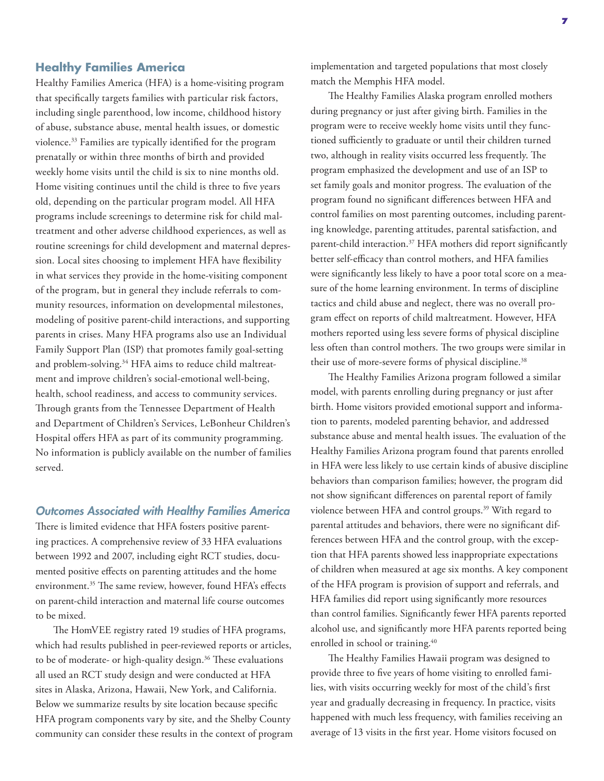#### **Healthy Families America**

Healthy Families America (HFA) is a home-visiting program that specifically targets families with particular risk factors, including single parenthood, low income, childhood history of abuse, substance abuse, mental health issues, or domestic violence.33 Families are typically identified for the program prenatally or within three months of birth and provided weekly home visits until the child is six to nine months old. Home visiting continues until the child is three to five years old, depending on the particular program model. All HFA programs include screenings to determine risk for child maltreatment and other adverse childhood experiences, as well as routine screenings for child development and maternal depression. Local sites choosing to implement HFA have flexibility in what services they provide in the home-visiting component of the program, but in general they include referrals to community resources, information on developmental milestones, modeling of positive parent-child interactions, and supporting parents in crises. Many HFA programs also use an Individual Family Support Plan (ISP) that promotes family goal-setting and problem-solving.<sup>34</sup> HFA aims to reduce child maltreatment and improve children's social-emotional well-being, health, school readiness, and access to community services. Through grants from the Tennessee Department of Health and Department of Children's Services, LeBonheur Children's Hospital offers HFA as part of its community programming. No information is publicly available on the number of families served.

#### *Outcomes Associated with Healthy Families America*

There is limited evidence that HFA fosters positive parenting practices. A comprehensive review of 33 HFA evaluations between 1992 and 2007, including eight RCT studies, documented positive effects on parenting attitudes and the home environment.<sup>35</sup> The same review, however, found HFA's effects on parent-child interaction and maternal life course outcomes to be mixed.

The HomVEE registry rated 19 studies of HFA programs, which had results published in peer-reviewed reports or articles, to be of moderate- or high-quality design.<sup>36</sup> These evaluations all used an RCT study design and were conducted at HFA sites in Alaska, Arizona, Hawaii, New York, and California. Below we summarize results by site location because specific HFA program components vary by site, and the Shelby County community can consider these results in the context of program implementation and targeted populations that most closely match the Memphis HFA model.

The Healthy Families Alaska program enrolled mothers during pregnancy or just after giving birth. Families in the program were to receive weekly home visits until they functioned sufficiently to graduate or until their children turned two, although in reality visits occurred less frequently. The program emphasized the development and use of an ISP to set family goals and monitor progress. The evaluation of the program found no significant differences between HFA and control families on most parenting outcomes, including parenting knowledge, parenting attitudes, parental satisfaction, and parent-child interaction.37 HFA mothers did report significantly better self-efficacy than control mothers, and HFA families were significantly less likely to have a poor total score on a measure of the home learning environment. In terms of discipline tactics and child abuse and neglect, there was no overall program effect on reports of child maltreatment. However, HFA mothers reported using less severe forms of physical discipline less often than control mothers. The two groups were similar in their use of more-severe forms of physical discipline.<sup>38</sup>

The Healthy Families Arizona program followed a similar model, with parents enrolling during pregnancy or just after birth. Home visitors provided emotional support and information to parents, modeled parenting behavior, and addressed substance abuse and mental health issues. The evaluation of the Healthy Families Arizona program found that parents enrolled in HFA were less likely to use certain kinds of abusive discipline behaviors than comparison families; however, the program did not show significant differences on parental report of family violence between HFA and control groups.39 With regard to parental attitudes and behaviors, there were no significant differences between HFA and the control group, with the exception that HFA parents showed less inappropriate expectations of children when measured at age six months. A key component of the HFA program is provision of support and referrals, and HFA families did report using significantly more resources than control families. Significantly fewer HFA parents reported alcohol use, and significantly more HFA parents reported being enrolled in school or training.<sup>40</sup>

The Healthy Families Hawaii program was designed to provide three to five years of home visiting to enrolled families, with visits occurring weekly for most of the child's first year and gradually decreasing in frequency. In practice, visits happened with much less frequency, with families receiving an average of 13 visits in the first year. Home visitors focused on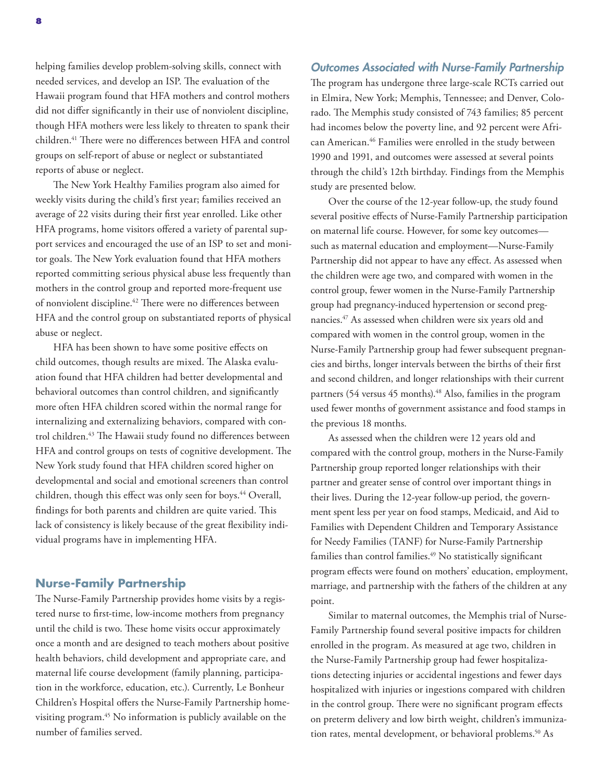helping families develop problem-solving skills, connect with needed services, and develop an ISP. The evaluation of the Hawaii program found that HFA mothers and control mothers did not differ significantly in their use of nonviolent discipline, though HFA mothers were less likely to threaten to spank their children.41 There were no differences between HFA and control groups on self-report of abuse or neglect or substantiated reports of abuse or neglect.

The New York Healthy Families program also aimed for weekly visits during the child's first year; families received an average of 22 visits during their first year enrolled. Like other HFA programs, home visitors offered a variety of parental support services and encouraged the use of an ISP to set and monitor goals. The New York evaluation found that HFA mothers reported committing serious physical abuse less frequently than mothers in the control group and reported more-frequent use of nonviolent discipline.<sup>42</sup> There were no differences between HFA and the control group on substantiated reports of physical abuse or neglect.

HFA has been shown to have some positive effects on child outcomes, though results are mixed. The Alaska evaluation found that HFA children had better developmental and behavioral outcomes than control children, and significantly more often HFA children scored within the normal range for internalizing and externalizing behaviors, compared with control children.<sup>43</sup> The Hawaii study found no differences between HFA and control groups on tests of cognitive development. The New York study found that HFA children scored higher on developmental and social and emotional screeners than control children, though this effect was only seen for boys.<sup>44</sup> Overall, findings for both parents and children are quite varied. This lack of consistency is likely because of the great flexibility individual programs have in implementing HFA.

#### **Nurse-Family Partnership**

The Nurse-Family Partnership provides home visits by a registered nurse to first-time, low-income mothers from pregnancy until the child is two. These home visits occur approximately once a month and are designed to teach mothers about positive health behaviors, child development and appropriate care, and maternal life course development (family planning, participation in the workforce, education, etc.). Currently, Le Bonheur Children's Hospital offers the Nurse-Family Partnership homevisiting program.45 No information is publicly available on the number of families served.

#### *Outcomes Associated with Nurse-Family Partnership*

The program has undergone three large-scale RCTs carried out in Elmira, New York; Memphis, Tennessee; and Denver, Colorado. The Memphis study consisted of 743 families; 85 percent had incomes below the poverty line, and 92 percent were African American.46 Families were enrolled in the study between 1990 and 1991, and outcomes were assessed at several points through the child's 12th birthday. Findings from the Memphis study are presented below.

Over the course of the 12-year follow-up, the study found several positive effects of Nurse-Family Partnership participation on maternal life course. However, for some key outcomes such as maternal education and employment—Nurse-Family Partnership did not appear to have any effect. As assessed when the children were age two, and compared with women in the control group, fewer women in the Nurse-Family Partnership group had pregnancy-induced hypertension or second pregnancies.47 As assessed when children were six years old and compared with women in the control group, women in the Nurse-Family Partnership group had fewer subsequent pregnancies and births, longer intervals between the births of their first and second children, and longer relationships with their current partners (54 versus 45 months).<sup>48</sup> Also, families in the program used fewer months of government assistance and food stamps in the previous 18 months.

As assessed when the children were 12 years old and compared with the control group, mothers in the Nurse-Family Partnership group reported longer relationships with their partner and greater sense of control over important things in their lives. During the 12-year follow-up period, the government spent less per year on food stamps, Medicaid, and Aid to Families with Dependent Children and Temporary Assistance for Needy Families (TANF) for Nurse-Family Partnership families than control families.<sup>49</sup> No statistically significant program effects were found on mothers' education, employment, marriage, and partnership with the fathers of the children at any point.

Similar to maternal outcomes, the Memphis trial of Nurse-Family Partnership found several positive impacts for children enrolled in the program. As measured at age two, children in the Nurse-Family Partnership group had fewer hospitalizations detecting injuries or accidental ingestions and fewer days hospitalized with injuries or ingestions compared with children in the control group. There were no significant program effects on preterm delivery and low birth weight, children's immunization rates, mental development, or behavioral problems.<sup>50</sup> As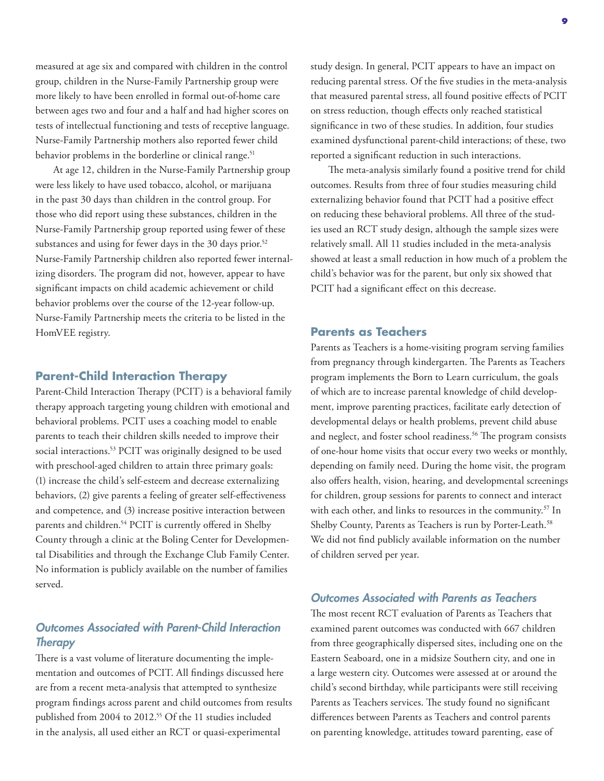measured at age six and compared with children in the control group, children in the Nurse-Family Partnership group were more likely to have been enrolled in formal out-of-home care between ages two and four and a half and had higher scores on tests of intellectual functioning and tests of receptive language. Nurse-Family Partnership mothers also reported fewer child behavior problems in the borderline or clinical range.<sup>51</sup>

At age 12, children in the Nurse-Family Partnership group were less likely to have used tobacco, alcohol, or marijuana in the past 30 days than children in the control group. For those who did report using these substances, children in the Nurse-Family Partnership group reported using fewer of these substances and using for fewer days in the 30 days prior.<sup>52</sup> Nurse-Family Partnership children also reported fewer internalizing disorders. The program did not, however, appear to have significant impacts on child academic achievement or child behavior problems over the course of the 12-year follow-up. Nurse-Family Partnership meets the criteria to be listed in the HomVEE registry.

#### **Parent-Child Interaction Therapy**

Parent-Child Interaction Therapy (PCIT) is a behavioral family therapy approach targeting young children with emotional and behavioral problems. PCIT uses a coaching model to enable parents to teach their children skills needed to improve their social interactions.<sup>53</sup> PCIT was originally designed to be used with preschool-aged children to attain three primary goals: (1) increase the child's self-esteem and decrease externalizing behaviors, (2) give parents a feeling of greater self-effectiveness and competence, and (3) increase positive interaction between parents and children.54 PCIT is currently offered in Shelby County through a clinic at the Boling Center for Developmental Disabilities and through the Exchange Club Family Center. No information is publicly available on the number of families served.

#### *Outcomes Associated with Parent-Child Interaction Therapy*

There is a vast volume of literature documenting the implementation and outcomes of PCIT. All findings discussed here are from a recent meta-analysis that attempted to synthesize program findings across parent and child outcomes from results published from 2004 to 2012.<sup>55</sup> Of the 11 studies included in the analysis, all used either an RCT or quasi-experimental

study design. In general, PCIT appears to have an impact on reducing parental stress. Of the five studies in the meta-analysis that measured parental stress, all found positive effects of PCIT on stress reduction, though effects only reached statistical significance in two of these studies. In addition, four studies examined dysfunctional parent-child interactions; of these, two reported a significant reduction in such interactions.

The meta-analysis similarly found a positive trend for child outcomes. Results from three of four studies measuring child externalizing behavior found that PCIT had a positive effect on reducing these behavioral problems. All three of the studies used an RCT study design, although the sample sizes were relatively small. All 11 studies included in the meta-analysis showed at least a small reduction in how much of a problem the child's behavior was for the parent, but only six showed that PCIT had a significant effect on this decrease.

#### **Parents as Teachers**

Parents as Teachers is a home-visiting program serving families from pregnancy through kindergarten. The Parents as Teachers program implements the Born to Learn curriculum, the goals of which are to increase parental knowledge of child development, improve parenting practices, facilitate early detection of developmental delays or health problems, prevent child abuse and neglect, and foster school readiness.<sup>56</sup> The program consists of one-hour home visits that occur every two weeks or monthly, depending on family need. During the home visit, the program also offers health, vision, hearing, and developmental screenings for children, group sessions for parents to connect and interact with each other, and links to resources in the community.<sup>57</sup> In Shelby County, Parents as Teachers is run by Porter-Leath.<sup>58</sup> We did not find publicly available information on the number of children served per year.

#### *Outcomes Associated with Parents as Teachers*

The most recent RCT evaluation of Parents as Teachers that examined parent outcomes was conducted with 667 children from three geographically dispersed sites, including one on the Eastern Seaboard, one in a midsize Southern city, and one in a large western city. Outcomes were assessed at or around the child's second birthday, while participants were still receiving Parents as Teachers services. The study found no significant differences between Parents as Teachers and control parents on parenting knowledge, attitudes toward parenting, ease of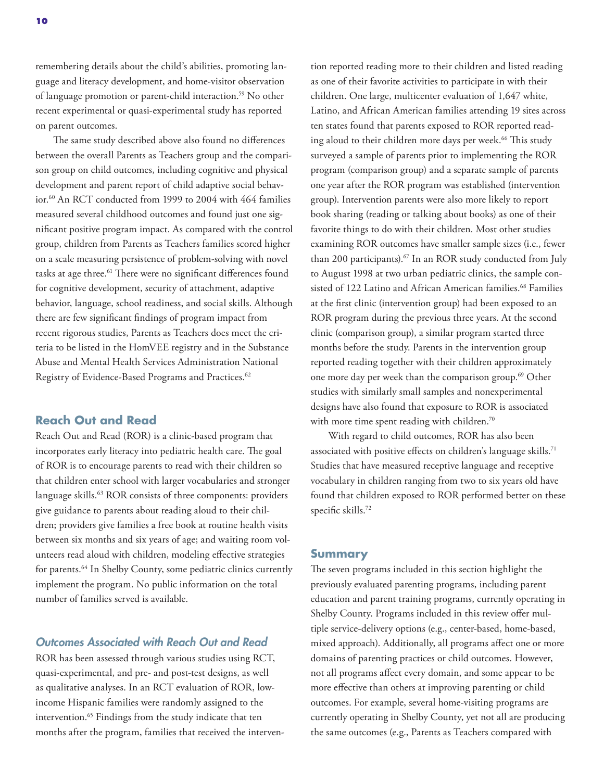remembering details about the child's abilities, promoting language and literacy development, and home-visitor observation of language promotion or parent-child interaction.59 No other recent experimental or quasi-experimental study has reported on parent outcomes.

The same study described above also found no differences between the overall Parents as Teachers group and the comparison group on child outcomes, including cognitive and physical development and parent report of child adaptive social behavior.60 An RCT conducted from 1999 to 2004 with 464 families measured several childhood outcomes and found just one significant positive program impact. As compared with the control group, children from Parents as Teachers families scored higher on a scale measuring persistence of problem-solving with novel tasks at age three.<sup>61</sup> There were no significant differences found for cognitive development, security of attachment, adaptive behavior, language, school readiness, and social skills. Although there are few significant findings of program impact from recent rigorous studies, Parents as Teachers does meet the criteria to be listed in the HomVEE registry and in the Substance Abuse and Mental Health Services Administration National Registry of Evidence-Based Programs and Practices.<sup>62</sup>

#### **Reach Out and Read**

Reach Out and Read (ROR) is a clinic-based program that incorporates early literacy into pediatric health care. The goal of ROR is to encourage parents to read with their children so that children enter school with larger vocabularies and stronger language skills.63 ROR consists of three components: providers give guidance to parents about reading aloud to their children; providers give families a free book at routine health visits between six months and six years of age; and waiting room volunteers read aloud with children, modeling effective strategies for parents.<sup>64</sup> In Shelby County, some pediatric clinics currently implement the program. No public information on the total number of families served is available.

#### *Outcomes Associated with Reach Out and Read*

ROR has been assessed through various studies using RCT, quasi-experimental, and pre- and post-test designs, as well as qualitative analyses. In an RCT evaluation of ROR, lowincome Hispanic families were randomly assigned to the intervention.65 Findings from the study indicate that ten months after the program, families that received the intervention reported reading more to their children and listed reading as one of their favorite activities to participate in with their children. One large, multicenter evaluation of 1,647 white, Latino, and African American families attending 19 sites across ten states found that parents exposed to ROR reported reading aloud to their children more days per week.<sup>66</sup> This study surveyed a sample of parents prior to implementing the ROR program (comparison group) and a separate sample of parents one year after the ROR program was established (intervention group). Intervention parents were also more likely to report book sharing (reading or talking about books) as one of their favorite things to do with their children. Most other studies examining ROR outcomes have smaller sample sizes (i.e., fewer than 200 participants).67 In an ROR study conducted from July to August 1998 at two urban pediatric clinics, the sample consisted of 122 Latino and African American families.<sup>68</sup> Families at the first clinic (intervention group) had been exposed to an ROR program during the previous three years. At the second clinic (comparison group), a similar program started three months before the study. Parents in the intervention group reported reading together with their children approximately one more day per week than the comparison group.<sup>69</sup> Other studies with similarly small samples and nonexperimental designs have also found that exposure to ROR is associated with more time spent reading with children.<sup>70</sup>

With regard to child outcomes, ROR has also been associated with positive effects on children's language skills.<sup>71</sup> Studies that have measured receptive language and receptive vocabulary in children ranging from two to six years old have found that children exposed to ROR performed better on these specific skills.72

#### **Summary**

The seven programs included in this section highlight the previously evaluated parenting programs, including parent education and parent training programs, currently operating in Shelby County. Programs included in this review offer multiple service-delivery options (e.g., center-based, home-based, mixed approach). Additionally, all programs affect one or more domains of parenting practices or child outcomes. However, not all programs affect every domain, and some appear to be more effective than others at improving parenting or child outcomes. For example, several home-visiting programs are currently operating in Shelby County, yet not all are producing the same outcomes (e.g., Parents as Teachers compared with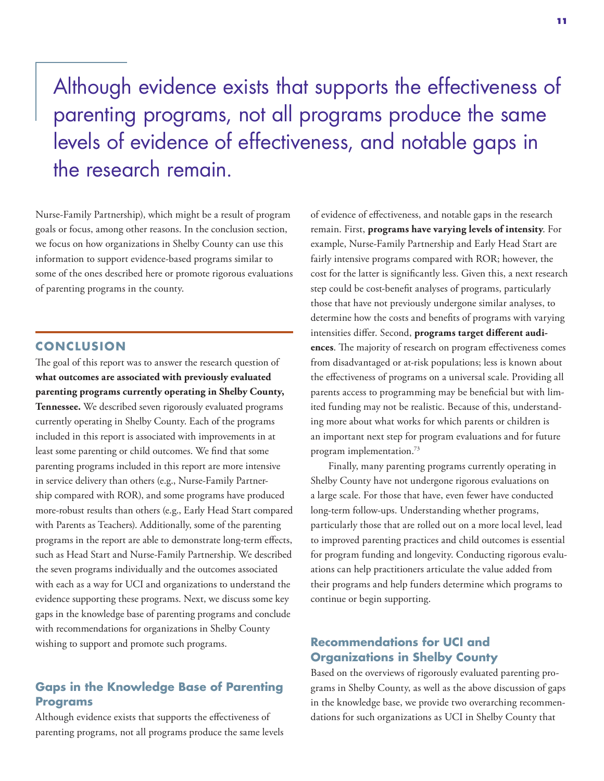## Although evidence exists that supports the effectiveness of parenting programs, not all programs produce the same levels of evidence of effectiveness, and notable gaps in the research remain.

Nurse-Family Partnership), which might be a result of program goals or focus, among other reasons. In the conclusion section, we focus on how organizations in Shelby County can use this information to support evidence-based programs similar to some of the ones described here or promote rigorous evaluations of parenting programs in the county.

#### **CONCLUS ION**

The goal of this report was to answer the research question of **what outcomes are associated with previously evaluated parenting programs currently operating in Shelby County, Tennessee.** We described seven rigorously evaluated programs currently operating in Shelby County. Each of the programs included in this report is associated with improvements in at least some parenting or child outcomes. We find that some parenting programs included in this report are more intensive in service delivery than others (e.g., Nurse-Family Partnership compared with ROR), and some programs have produced more-robust results than others (e.g., Early Head Start compared with Parents as Teachers). Additionally, some of the parenting programs in the report are able to demonstrate long-term effects, such as Head Start and Nurse-Family Partnership. We described the seven programs individually and the outcomes associated with each as a way for UCI and organizations to understand the evidence supporting these programs. Next, we discuss some key gaps in the knowledge base of parenting programs and conclude with recommendations for organizations in Shelby County wishing to support and promote such programs.

#### **Gaps in the Knowledge Base of Parenting Programs**

Although evidence exists that supports the effectiveness of parenting programs, not all programs produce the same levels of evidence of effectiveness, and notable gaps in the research remain. First, **programs have varying levels of intensity**. For example, Nurse-Family Partnership and Early Head Start are fairly intensive programs compared with ROR; however, the cost for the latter is significantly less. Given this, a next research step could be cost-benefit analyses of programs, particularly those that have not previously undergone similar analyses, to determine how the costs and benefits of programs with varying intensities differ. Second, **programs target different audiences**. The majority of research on program effectiveness comes from disadvantaged or at-risk populations; less is known about the effectiveness of programs on a universal scale. Providing all parents access to programming may be beneficial but with limited funding may not be realistic. Because of this, understanding more about what works for which parents or children is an important next step for program evaluations and for future program implementation.73

Finally, many parenting programs currently operating in Shelby County have not undergone rigorous evaluations on a large scale. For those that have, even fewer have conducted long-term follow-ups. Understanding whether programs, particularly those that are rolled out on a more local level, lead to improved parenting practices and child outcomes is essential for program funding and longevity. Conducting rigorous evaluations can help practitioners articulate the value added from their programs and help funders determine which programs to continue or begin supporting.

#### **Recommendations for UCI and Organizations in Shelby County**

Based on the overviews of rigorously evaluated parenting programs in Shelby County, as well as the above discussion of gaps in the knowledge base, we provide two overarching recommendations for such organizations as UCI in Shelby County that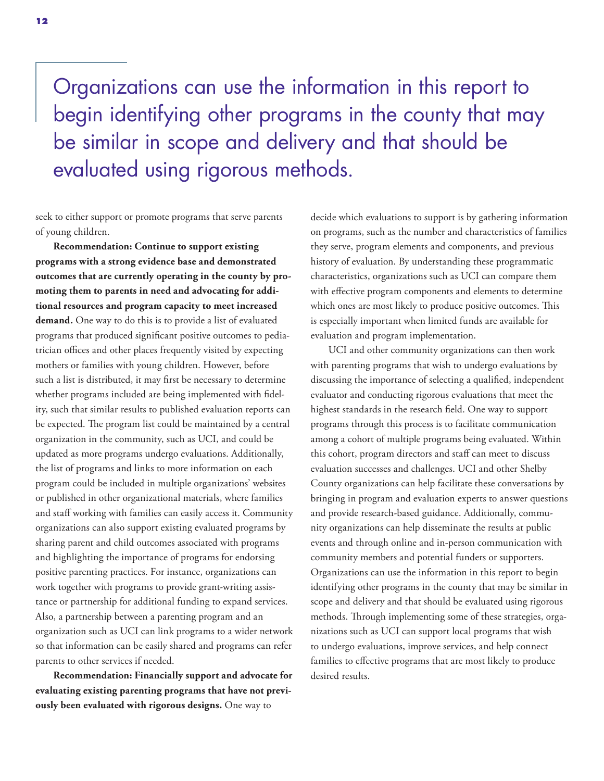Organizations can use the information in this report to begin identifying other programs in the county that may be similar in scope and delivery and that should be evaluated using rigorous methods.

seek to either support or promote programs that serve parents of young children.

**Recommendation: Continue to support existing programs with a strong evidence base and demonstrated outcomes that are currently operating in the county by promoting them to parents in need and advocating for additional resources and program capacity to meet increased demand.** One way to do this is to provide a list of evaluated programs that produced significant positive outcomes to pediatrician offices and other places frequently visited by expecting mothers or families with young children. However, before such a list is distributed, it may first be necessary to determine whether programs included are being implemented with fidelity, such that similar results to published evaluation reports can be expected. The program list could be maintained by a central organization in the community, such as UCI, and could be updated as more programs undergo evaluations. Additionally, the list of programs and links to more information on each program could be included in multiple organizations' websites or published in other organizational materials, where families and staff working with families can easily access it. Community organizations can also support existing evaluated programs by sharing parent and child outcomes associated with programs and highlighting the importance of programs for endorsing positive parenting practices. For instance, organizations can work together with programs to provide grant-writing assistance or partnership for additional funding to expand services. Also, a partnership between a parenting program and an organization such as UCI can link programs to a wider network so that information can be easily shared and programs can refer parents to other services if needed.

**Recommendation: Financially support and advocate for evaluating existing parenting programs that have not previously been evaluated with rigorous designs.** One way to

decide which evaluations to support is by gathering information on programs, such as the number and characteristics of families they serve, program elements and components, and previous history of evaluation. By understanding these programmatic characteristics, organizations such as UCI can compare them with effective program components and elements to determine which ones are most likely to produce positive outcomes. This is especially important when limited funds are available for evaluation and program implementation.

UCI and other community organizations can then work with parenting programs that wish to undergo evaluations by discussing the importance of selecting a qualified, independent evaluator and conducting rigorous evaluations that meet the highest standards in the research field. One way to support programs through this process is to facilitate communication among a cohort of multiple programs being evaluated. Within this cohort, program directors and staff can meet to discuss evaluation successes and challenges. UCI and other Shelby County organizations can help facilitate these conversations by bringing in program and evaluation experts to answer questions and provide research-based guidance. Additionally, community organizations can help disseminate the results at public events and through online and in-person communication with community members and potential funders or supporters. Organizations can use the information in this report to begin identifying other programs in the county that may be similar in scope and delivery and that should be evaluated using rigorous methods. Through implementing some of these strategies, organizations such as UCI can support local programs that wish to undergo evaluations, improve services, and help connect families to effective programs that are most likely to produce desired results.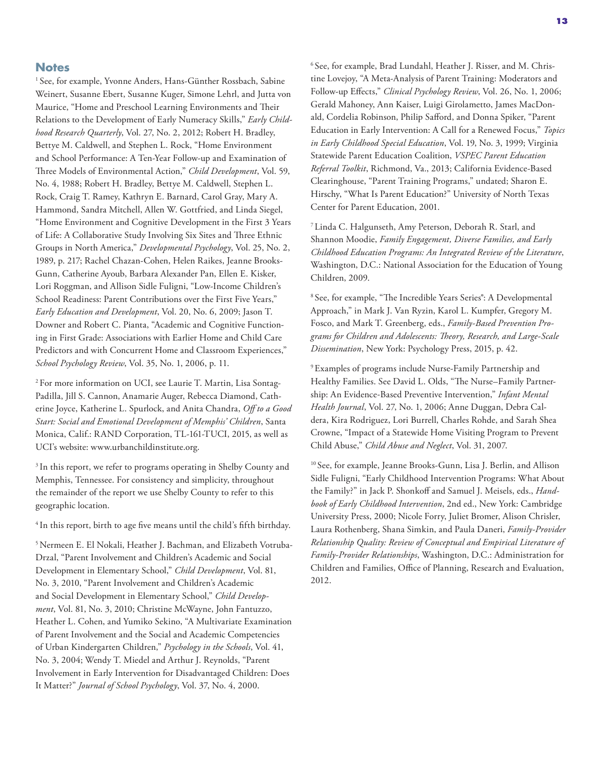#### **Notes**

<sup>1</sup> See, for example, Yvonne Anders, Hans-Günther Rossbach, Sabine Weinert, Susanne Ebert, Susanne Kuger, Simone Lehrl, and Jutta von Maurice, "Home and Preschool Learning Environments and Their Relations to the Development of Early Numeracy Skills," *Early Childhood Research Quarterly*, Vol. 27, No. 2, 2012; Robert H. Bradley, Bettye M. Caldwell, and Stephen L. Rock, "Home Environment and School Performance: A Ten-Year Follow-up and Examination of Three Models of Environmental Action," *Child Development*, Vol. 59, No. 4, 1988; Robert H. Bradley, Bettye M. Caldwell, Stephen L. Rock, Craig T. Ramey, Kathryn E. Barnard, Carol Gray, Mary A. Hammond, Sandra Mitchell, Allen W. Gottfried, and Linda Siegel, "Home Environment and Cognitive Development in the First 3 Years of Life: A Collaborative Study Involving Six Sites and Three Ethnic Groups in North America," *Developmental Psychology*, Vol. 25, No. 2, 1989, p. 217; Rachel Chazan-Cohen, Helen Raikes, Jeanne Brooks-Gunn, Catherine Ayoub, Barbara Alexander Pan, Ellen E. Kisker, Lori Roggman, and Allison Sidle Fuligni, "Low-Income Children's School Readiness: Parent Contributions over the First Five Years," *Early Education and Development*, Vol. 20, No. 6, 2009; Jason T. Downer and Robert C. Pianta, "Academic and Cognitive Functioning in First Grade: Associations with Earlier Home and Child Care Predictors and with Concurrent Home and Classroom Experiences," *School Psychology Review*, Vol. 35, No. 1, 2006, p. 11.

2 For more information on UCI, see Laurie T. Martin, Lisa Sontag-Padilla, Jill S. Cannon, Anamarie Auger, Rebecca Diamond, Catherine Joyce, Katherine L. Spurlock, and Anita Chandra, *Off to a Good Start: Social and Emotional Development of Memphis' Children*, Santa Monica, Calif.: RAND Corporation, TL-161-TUCI, 2015, as well as UCI's website: [www.urbanchildinstitute.org.](http://www.urbanchildinstitute.org) 

<sup>3</sup> In this report, we refer to programs operating in Shelby County and Memphis, Tennessee. For consistency and simplicity, throughout the remainder of the report we use Shelby County to refer to this geographic location.

<sup>4</sup> In this report, birth to age five means until the child's fifth birthday.

5 Nermeen E. El Nokali, Heather J. Bachman, and Elizabeth Votruba‐ Drzal, "Parent Involvement and Children's Academic and Social Development in Elementary School," *Child Development*, Vol. 81, No. 3, 2010, "Parent Involvement and Children's Academic and Social Development in Elementary School," *Child Development*, Vol. 81, No. 3, 2010; Christine McWayne, John Fantuzzo, Heather L. Cohen, and Yumiko Sekino, "A Multivariate Examination of Parent Involvement and the Social and Academic Competencies of Urban Kindergarten Children," *Psychology in the Schools*, Vol. 41, No. 3, 2004; Wendy T. Miedel and Arthur J. Reynolds, "Parent Involvement in Early Intervention for Disadvantaged Children: Does It Matter?" *Journal of School Psychology*, Vol. 37, No. 4, 2000.

6 See, for example, Brad Lundahl, Heather J. Risser, and M. Christine Lovejoy, "A Meta-Analysis of Parent Training: Moderators and Follow-up Effects," *Clinical Psychology Review*, Vol. 26, No. 1, 2006; Gerald Mahoney, Ann Kaiser, Luigi Girolametto, James MacDonald, Cordelia Robinson, Philip Safford, and Donna Spiker, "Parent Education in Early Intervention: A Call for a Renewed Focus," *Topics in Early Childhood Special Education*, Vol. 19, No. 3, 1999; Virginia Statewide Parent Education Coalition, *VSPEC Parent Education Referral Toolkit*, Richmond, Va., 2013; California Evidence-Based Clearinghouse, "Parent Training Programs," undated; Sharon E. Hirschy, "What Is Parent Education?" University of North Texas Center for Parent Education, 2001.

7 Linda C. Halgunseth, Amy Peterson, Deborah R. Starl, and Shannon Moodie, *Family Engagement, Diverse Families, and Early Childhood Education Programs: An Integrated Review of the Literature*, Washington, D.C.: National Association for the Education of Young Children, 2009.

<sup>8</sup> See, for example, "The Incredible Years Series<sup>®</sup>: A Developmental Approach," in Mark J. Van Ryzin, Karol L. Kumpfer, Gregory M. Fosco, and Mark T. Greenberg, eds., *Family-Based Prevention Programs for Children and Adolescents: Theory, Research, and Large-Scale Dissemination*, New York: Psychology Press, 2015, p. 42.

9 Examples of programs include Nurse-Family Partnership and Healthy Families. See David L. Olds, "The Nurse–Family Partnership: An Evidence‐Based Preventive Intervention," *Infant Mental Health Journal*, Vol. 27, No. 1, 2006; Anne Duggan, Debra Caldera, Kira Rodriguez, Lori Burrell, Charles Rohde, and Sarah Shea Crowne, "Impact of a Statewide Home Visiting Program to Prevent Child Abuse," *Child Abuse and Neglect*, Vol. 31, 2007.

10 See, for example, Jeanne Brooks-Gunn, Lisa J. Berlin, and Allison Sidle Fuligni, "Early Childhood Intervention Programs: What About the Family?" in Jack P. Shonkoff and Samuel J. Meisels, eds., *Handbook of Early Childhood Intervention*, 2nd ed., New York: Cambridge University Press, 2000; Nicole Forry, Juliet Bromer, Alison Chrisler, Laura Rothenberg, Shana Simkin, and Paula Daneri, *Family-Provider Relationship Quality: Review of Conceptual and Empirical Literature of Family-Provider Relationships*, Washington, D.C.: Administration for Children and Families, Office of Planning, Research and Evaluation, 2012.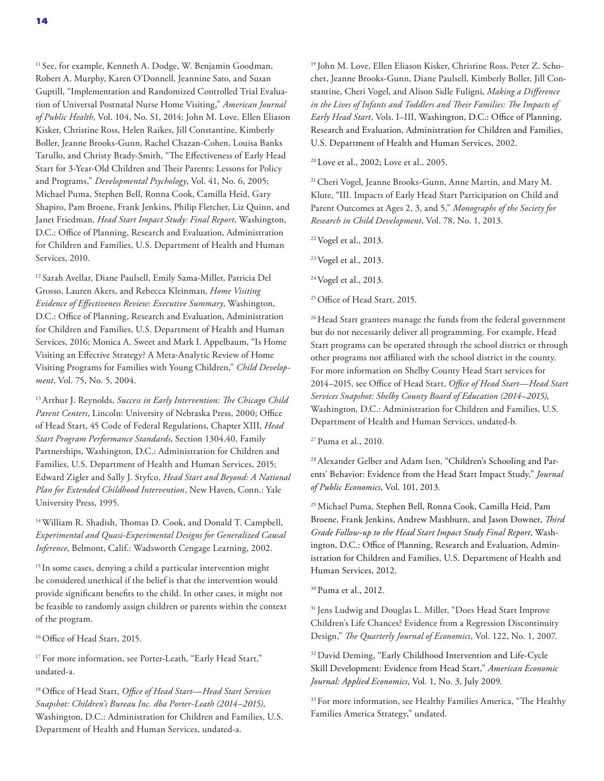<sup>11</sup> See, for example, Kenneth A. Dodge, W. Benjamin Goodman, Robert A. Murphy, Karen O'Donnell, Jeannine Sato, and Susan Guptill, "Implementation and Randomized Controlled Trial Evaluation of Universal Postnatal Nurse Home Visiting," *American Journal of Public Health*, Vol. 104, No. S1, 2014; John M. Love, Ellen Eliason Kisker, Christine Ross, Helen Raikes, Jill Constantine, Kimberly Boller, Jeanne Brooks-Gunn, Rachel Chazan-Cohen, Louisa Banks Tarullo, and Christy Brady-Smith, "The Effectiveness of Early Head Start for 3-Year-Old Children and Their Parents: Lessons for Policy and Programs," *Developmental Psychology*, Vol. 41, No. 6, 2005; Michael Puma, Stephen Bell, Ronna Cook, Camilla Heid, Gary Shapiro, Pam Broene, Frank Jenkins, Philip Fletcher, Liz Quinn, and Janet Friedman, *Head Start Impact Study: Final Report*, Washington, D.C.: Office of Planning, Research and Evaluation, Administration for Children and Families, U.S. Department of Health and Human Services, 2010.

12 Sarah Avellar, Diane Paulsell, Emily Sama-Miller, Patricia Del Grosso, Lauren Akers, and Rebecca Kleinman, *Home Visiting Evidence of Effectiveness Review: Executive Summary*, Washington, D.C.: Office of Planning, Research and Evaluation, Administration for Children and Families, U.S. Department of Health and Human Services, 2016; Monica A. Sweet and Mark I. Appelbaum, "Is Home Visiting an Effective Strategy? A Meta‐Analytic Review of Home Visiting Programs for Families with Young Children," *Child Development*, Vol. 75, No. 5, 2004.

13 Arthur J. Reynolds, *Success in Early Intervention: The Chicago Child Parent Centers*, Lincoln: University of Nebraska Press, 2000; Office of Head Start, 45 Code of Federal Regulations, Chapter XIII, *Head Start Program Performance Standards*, Section 1304.40, Family Partnerships, Washington, D.C.: Administration for Children and Families, U.S. Department of Health and Human Services, 2015; Edward Zigler and Sally J. Styfco, *Head Start and Beyond: A National Plan for Extended Childhood Intervention*, New Haven, Conn.: Yale University Press, 1995.

14 William R. Shadish, Thomas D. Cook, and Donald T. Campbell, *Experimental and Quasi-Experimental Designs for Generalized Causal Inference*, Belmont, Calif.: Wadsworth Cengage Learning, 2002.

<sup>15</sup> In some cases, denying a child a particular intervention might be considered unethical if the belief is that the intervention would provide significant benefits to the child. In other cases, it might not be feasible to randomly assign children or parents within the context of the program.

<sup>16</sup> Office of Head Start, 2015.

<sup>17</sup> For more information, see Porter-Leath, "Early Head Start," undated-a.

18 Office of Head Start, *Office of Head Start—Head Start Services Snapshot: Children's Bureau Inc. dba Porter-Leath (2014–2015)*, Washington, D.C.: Administration for Children and Families, U.S. Department of Health and Human Services, undated-a.

19 John M. Love, Ellen Eliason Kisker, Christine Ross, Peter Z. Schochet, Jeanne Brooks-Gunn, Diane Paulsell, Kimberly Boller, Jill Constantine, Cheri Vogel, and Alison Sidle Fuligni, *Making a Difference in the Lives of Infants and Toddlers and Their Families: The Impacts of Early Head Start*, Vols. I–III, Washington, D.C.: Office of Planning, Research and Evaluation, Administration for Children and Families, U.S. Department of Health and Human Services, 2002.

20 Love et al., 2002; Love et al., 2005.

21 Cheri Vogel, Jeanne Brooks‐Gunn, Anne Martin, and Mary M. Klute, "III. Impacts of Early Head Start Participation on Child and Parent Outcomes at Ages 2, 3, and 5," *Monographs of the Society for Research in Child Development*, Vol. 78, No. 1, 2013.

22 Vogel et al., 2013.

23 Vogel et al., 2013.

<sup>24</sup> Vogel et al., 2013.

<sup>25</sup> Office of Head Start, 2015.

<sup>26</sup> Head Start grantees manage the funds from the federal government but do not necessarily deliver all programming. For example, Head Start programs can be operated through the school district or through other programs not affiliated with the school district in the county. For more information on Shelby County Head Start services for 2014–2015, see Office of Head Start, *Office of Head Start—Head Start Services Snapshot: Shelby County Board of Education (2014–2015)*, Washington, D.C.: Administration for Children and Families, U.S. Department of Health and Human Services, undated-b.

27 Puma et al., 2010.

28 Alexander Gelber and Adam Isen, "Children's Schooling and Parents' Behavior: Evidence from the Head Start Impact Study," *Journal of Public Economics*, Vol. 101, 2013.

29 Michael Puma, Stephen Bell, Ronna Cook, Camilla Heid, Pam Broene, Frank Jenkins, Andrew Mashburn, and Jason Downer, *Third Grade Follow-up to the Head Start Impact Study Final Report*, Washington, D.C.: Office of Planning, Research and Evaluation, Administration for Children and Families, U.S. Department of Health and Human Services, 2012.

30 Puma et al., 2012.

<sup>31</sup> Jens Ludwig and Douglas L. Miller, "Does Head Start Improve Children's Life Chances? Evidence from a Regression Discontinuity Design," *The Quarterly Journal of Economics*, Vol. 122, No. 1, 2007.

<sup>32</sup> David Deming, "Early Childhood Intervention and Life-Cycle Skill Development: Evidence from Head Start," *American Economic Journal: Applied Economics*, Vol. 1, No. 3, July 2009.

<sup>33</sup> For more information, see Healthy Families America, "The Healthy Families America Strategy," undated.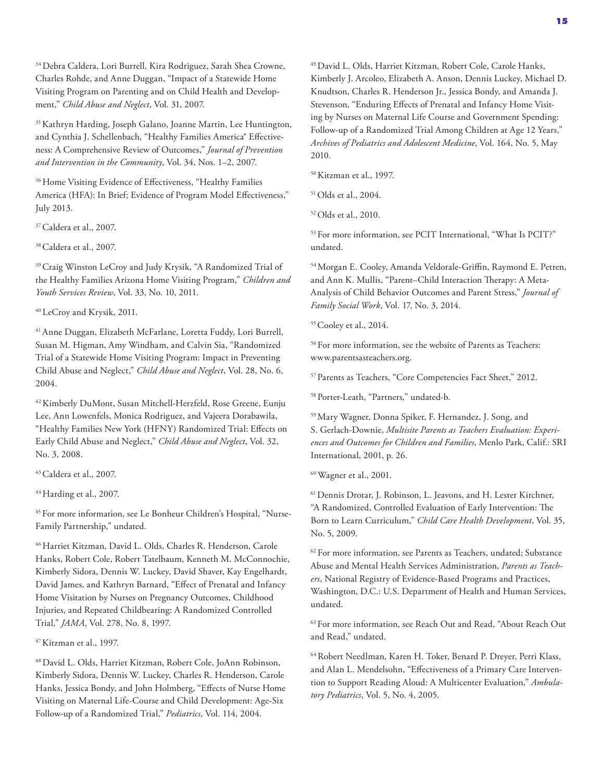34 Debra Caldera, Lori Burrell, Kira Rodriguez, Sarah Shea Crowne, Charles Rohde, and Anne Duggan, "Impact of a Statewide Home Visiting Program on Parenting and on Child Health and Development," *Child Abuse and Neglect*, Vol. 31, 2007.

35 Kathryn Harding, Joseph Galano, Joanne Martin, Lee Huntington, and Cynthia J. Schellenbach, "Healthy Families America" Effectiveness: A Comprehensive Review of Outcomes," *Journal of Prevention and Intervention in the Community*, Vol. 34, Nos. 1–2, 2007.

<sup>36</sup> Home Visiting Evidence of Effectiveness, "Healthy Families America (HFA): In Brief; Evidence of Program Model Effectiveness," July 2013.

<sup>37</sup> Caldera et al., 2007.

38 Caldera et al., 2007.

39 Craig Winston LeCroy and Judy Krysik, "A Randomized Trial of the Healthy Families Arizona Home Visiting Program," *Children and Youth Services Review*, Vol. 33, No. 10, 2011.

40 LeCroy and Krysik, 2011.

41 Anne Duggan, Elizabeth McFarlane, Loretta Fuddy, Lori Burrell, Susan M. Higman, Amy Windham, and Calvin Sia, "Randomized Trial of a Statewide Home Visiting Program: Impact in Preventing Child Abuse and Neglect," *Child Abuse and Neglect*, Vol. 28, No. 6, 2004.

42 Kimberly DuMont, Susan Mitchell-Herzfeld, Rose Greene, Eunju Lee, Ann Lowenfels, Monica Rodriguez, and Vajeera Dorabawila, "Healthy Families New York (HFNY) Randomized Trial: Effects on Early Child Abuse and Neglect," *Child Abuse and Neglect*, Vol. 32, No. 3, 2008.

43 Caldera et al., 2007.

44 Harding et al., 2007.

45 For more information, see Le Bonheur Children's Hospital, "Nurse-Family Partnership," undated.

46 Harriet Kitzman, David L. Olds, Charles R. Henderson, Carole Hanks, Robert Cole, Robert Tatelbaum, Kenneth M. McConnochie, Kimberly Sidora, Dennis W. Luckey, David Shaver, Kay Engelhardt, David James, and Kathryn Barnard, "Effect of Prenatal and Infancy Home Visitation by Nurses on Pregnancy Outcomes, Childhood Injuries, and Repeated Childbearing: A Randomized Controlled Trial," *JAMA*, Vol. 278, No. 8, 1997.

47 Kitzman et al., 1997.

48 David L. Olds, Harriet Kitzman, Robert Cole, JoAnn Robinson, Kimberly Sidora, Dennis W. Luckey, Charles R. Henderson, Carole Hanks, Jessica Bondy, and John Holmberg, "Effects of Nurse Home Visiting on Maternal Life-Course and Child Development: Age-Six Follow-up of a Randomized Trial," *Pediatrics*, Vol. 114, 2004.

49 David L. Olds, Harriet Kitzman, Robert Cole, Carole Hanks, Kimberly J. Arcoleo, Elizabeth A. Anson, Dennis Luckey, Michael D. Knudtson, Charles R. Henderson Jr., Jessica Bondy, and Amanda J. Stevenson, "Enduring Effects of Prenatal and Infancy Home Visiting by Nurses on Maternal Life Course and Government Spending: Follow-up of a Randomized Trial Among Children at Age 12 Years," *Archives of Pediatrics and Adolescent Medicine*, Vol. 164, No. 5, May 2010.

50 Kitzman et al., 1997.

51 Olds et al., 2004.

52 Olds et al., 2010.

53 For more information, see PCIT International, "What Is PCIT?" undated.

54 Morgan E. Cooley, Amanda Veldorale-Griffin, Raymond E. Petren, and Ann K. Mullis, "Parent–Child Interaction Therapy: A Meta-Analysis of Child Behavior Outcomes and Parent Stress," *Journal of Family Social Work*, Vol. 17, No. 3, 2014.

<sup>55</sup> Cooley et al., 2014.

56 For more information, see the website of Parents as Teachers: [www.parentsasteachers.org.](http://www.parentsasteachers.org)

57 Parents as Teachers, "Core Competencies Fact Sheet," 2012.

58 Porter-Leath, "Partners," undated-b.

59 Mary Wagner, Donna Spiker, F. Hernandez, J. Song, and S. Gerlach-Downie, *Multisite Parents as Teachers Evaluation: Experiences and Outcomes for Children and Families*, Menlo Park, Calif.: SRI International, 2001, p. 26.

60 Wagner et al., 2001.

61 Dennis Drotar, J. Robinson, L. Jeavons, and H. Lester Kirchner, "A Randomized, Controlled Evaluation of Early Intervention: The Born to Learn Curriculum," *Child Care Health Development*, Vol. 35, No. 5, 2009.

<sup>62</sup> For more information, see Parents as Teachers, undated; Substance Abuse and Mental Health Services Administration, *Parents as Teachers*, National Registry of Evidence-Based Programs and Practices, Washington, D.C.: U.S. Department of Health and Human Services, undated.

63 For more information, see Reach Out and Read, "About Reach Out and Read," undated.

64 Robert Needlman, Karen H. Toker, Benard P. Dreyer, Perri Klass, and Alan L. Mendelsohn, "Effectiveness of a Primary Care Intervention to Support Reading Aloud: A Multicenter Evaluation," *Ambulatory Pediatrics*, Vol. 5, No. 4, 2005.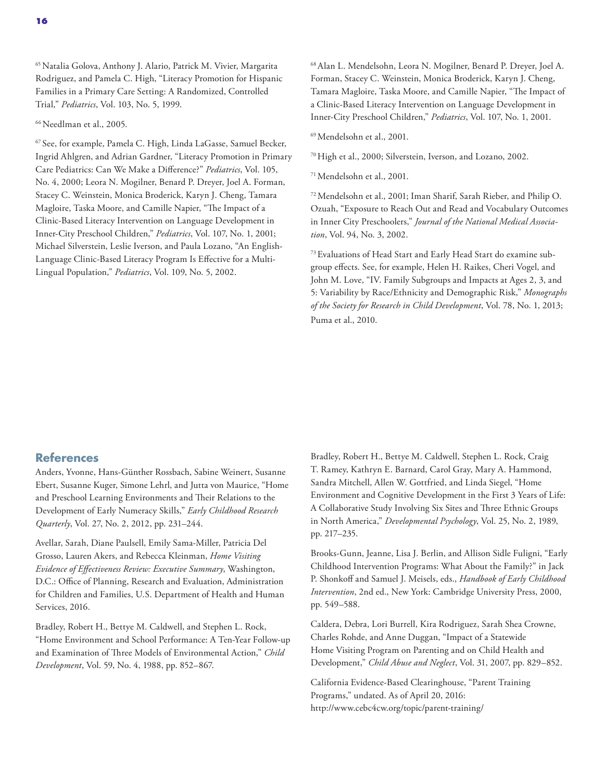65 Natalia Golova, Anthony J. Alario, Patrick M. Vivier, Margarita Rodriguez, and Pamela C. High, "Literacy Promotion for Hispanic Families in a Primary Care Setting: A Randomized, Controlled Trial," *Pediatrics*, Vol. 103, No. 5, 1999.

66 Needlman et al., 2005.

67 See, for example, Pamela C. High, Linda LaGasse, Samuel Becker, Ingrid Ahlgren, and Adrian Gardner, "Literacy Promotion in Primary Care Pediatrics: Can We Make a Difference?" *Pediatrics*, Vol. 105, No. 4, 2000; Leora N. Mogilner, Benard P. Dreyer, Joel A. Forman, Stacey C. Weinstein, Monica Broderick, Karyn J. Cheng, Tamara Magloire, Taska Moore, and Camille Napier, "The Impact of a Clinic-Based Literacy Intervention on Language Development in Inner-City Preschool Children," *Pediatrics*, Vol. 107, No. 1, 2001; Michael Silverstein, Leslie Iverson, and Paula Lozano, "An English-Language Clinic-Based Literacy Program Is Effective for a Multi-Lingual Population," *Pediatrics*, Vol. 109, No. 5, 2002.

68 Alan L. Mendelsohn, Leora N. Mogilner, Benard P. Dreyer, Joel A. Forman, Stacey C. Weinstein, Monica Broderick, Karyn J. Cheng, Tamara Magloire, Taska Moore, and Camille Napier, "The Impact of a Clinic-Based Literacy Intervention on Language Development in Inner-City Preschool Children," *Pediatrics*, Vol. 107, No. 1, 2001.

69 Mendelsohn et al., 2001.

70 High et al., 2000; Silverstein, Iverson, and Lozano, 2002.

71 Mendelsohn et al., 2001.

72 Mendelsohn et al., 2001; Iman Sharif, Sarah Rieber, and Philip O. Ozuah, "Exposure to Reach Out and Read and Vocabulary Outcomes in Inner City Preschoolers," *Journal of the National Medical Association*, Vol. 94, No. 3, 2002.

73 Evaluations of Head Start and Early Head Start do examine subgroup effects. See, for example, Helen H. Raikes, Cheri Vogel, and John M. Love, "IV. Family Subgroups and Impacts at Ages 2, 3, and 5: Variability by Race/Ethnicity and Demographic Risk," *Monographs of the Society for Research in Child Development*, Vol. 78, No. 1, 2013; Puma et al., 2010.

#### **References**

Anders, Yvonne, Hans-Günther Rossbach, Sabine Weinert, Susanne Ebert, Susanne Kuger, Simone Lehrl, and Jutta von Maurice, "Home and Preschool Learning Environments and Their Relations to the Development of Early Numeracy Skills," *Early Childhood Research Quarterly*, Vol. 27, No. 2, 2012, pp. 231–244.

Avellar, Sarah, Diane Paulsell, Emily Sama-Miller, Patricia Del Grosso, Lauren Akers, and Rebecca Kleinman, *Home Visiting Evidence of Effectiveness Review: Executive Summary*, Washington, D.C.: Office of Planning, Research and Evaluation, Administration for Children and Families, U.S. Department of Health and Human Services, 2016.

Bradley, Robert H., Bettye M. Caldwell, and Stephen L. Rock, "Home Environment and School Performance: A Ten-Year Follow-up and Examination of Three Models of Environmental Action," *Child Development*, Vol. 59, No. 4, 1988, pp. 852–867.

Bradley, Robert H., Bettye M. Caldwell, Stephen L. Rock, Craig T. Ramey, Kathryn E. Barnard, Carol Gray, Mary A. Hammond, Sandra Mitchell, Allen W. Gottfried, and Linda Siegel, "Home Environment and Cognitive Development in the First 3 Years of Life: A Collaborative Study Involving Six Sites and Three Ethnic Groups in North America," *Developmental Psychology*, Vol. 25, No. 2, 1989, pp. 217–235.

Brooks-Gunn, Jeanne, Lisa J. Berlin, and Allison Sidle Fuligni, "Early Childhood Intervention Programs: What About the Family?" in Jack P. Shonkoff and Samuel J. Meisels, eds., *Handbook of Early Childhood Intervention*, 2nd ed., New York: Cambridge University Press, 2000, pp. 549–588.

Caldera, Debra, Lori Burrell, Kira Rodriguez, Sarah Shea Crowne, Charles Rohde, and Anne Duggan, "Impact of a Statewide Home Visiting Program on Parenting and on Child Health and Development," *Child Abuse and Neglect*, Vol. 31, 2007, pp. 829–852.

California Evidence-Based Clearinghouse, "Parent Training Programs," undated. As of April 20, 2016: <http://www.cebc4cw.org/topic/parent-training/>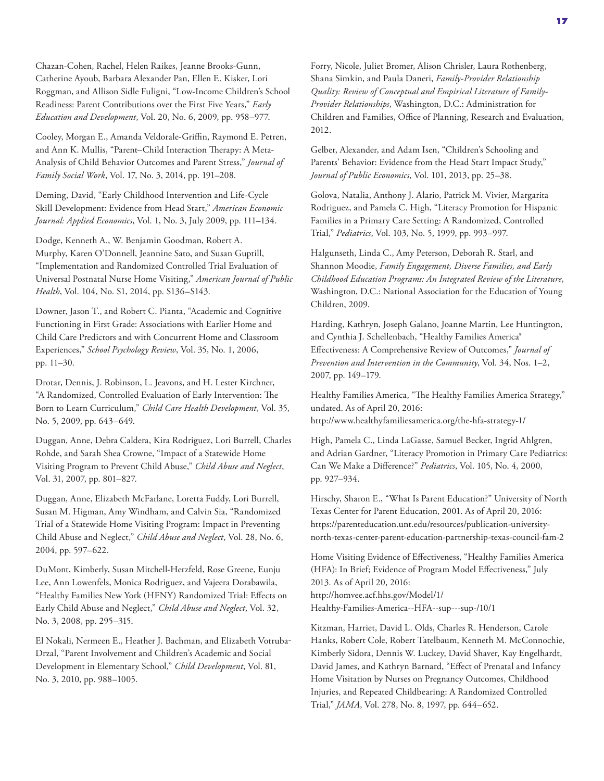Chazan-Cohen, Rachel, Helen Raikes, Jeanne Brooks-Gunn, Catherine Ayoub, Barbara Alexander Pan, Ellen E. Kisker, Lori Roggman, and Allison Sidle Fuligni, "Low-Income Children's School Readiness: Parent Contributions over the First Five Years," *Early Education and Development*, Vol. 20, No. 6, 2009, pp. 958–977.

Cooley, Morgan E., Amanda Veldorale-Griffin, Raymond E. Petren, and Ann K. Mullis, "Parent–Child Interaction Therapy: A Meta-Analysis of Child Behavior Outcomes and Parent Stress," *Journal of Family Social Work*, Vol. 17, No. 3, 2014, pp. 191–208.

Deming, David, "Early Childhood Intervention and Life-Cycle Skill Development: Evidence from Head Start," *American Economic Journal: Applied Economics*, Vol. 1, No. 3, July 2009, pp. 111–134.

Dodge, Kenneth A., W. Benjamin Goodman, Robert A. Murphy, Karen O'Donnell, Jeannine Sato, and Susan Guptill, "Implementation and Randomized Controlled Trial Evaluation of Universal Postnatal Nurse Home Visiting," *American Journal of Public Health*, Vol. 104, No. S1, 2014, pp. S136–S143.

Downer, Jason T., and Robert C. Pianta, "Academic and Cognitive Functioning in First Grade: Associations with Earlier Home and Child Care Predictors and with Concurrent Home and Classroom Experiences," *School Psychology Review*, Vol. 35, No. 1, 2006, pp. 11–30.

Drotar, Dennis, J. Robinson, L. Jeavons, and H. Lester Kirchner, "A Randomized, Controlled Evaluation of Early Intervention: The Born to Learn Curriculum," *Child Care Health Development*, Vol. 35, No. 5, 2009, pp. 643–649.

Duggan, Anne, Debra Caldera, Kira Rodriguez, Lori Burrell, Charles Rohde, and Sarah Shea Crowne, "Impact of a Statewide Home Visiting Program to Prevent Child Abuse," *Child Abuse and Neglect*, Vol. 31, 2007, pp. 801–827.

Duggan, Anne, Elizabeth McFarlane, Loretta Fuddy, Lori Burrell, Susan M. Higman, Amy Windham, and Calvin Sia, "Randomized Trial of a Statewide Home Visiting Program: Impact in Preventing Child Abuse and Neglect," *Child Abuse and Neglect*, Vol. 28, No. 6, 2004, pp. 597–622.

DuMont, Kimberly, Susan Mitchell-Herzfeld, Rose Greene, Eunju Lee, Ann Lowenfels, Monica Rodriguez, and Vajeera Dorabawila, "Healthy Families New York (HFNY) Randomized Trial: Effects on Early Child Abuse and Neglect," *Child Abuse and Neglect*, Vol. 32, No. 3, 2008, pp. 295–315.

El Nokali, Nermeen E., Heather J. Bachman, and Elizabeth Votruba‐ Drzal, "Parent Involvement and Children's Academic and Social Development in Elementary School," *Child Development*, Vol. 81, No. 3, 2010, pp. 988–1005.

Forry, Nicole, Juliet Bromer, Alison Chrisler, Laura Rothenberg, Shana Simkin, and Paula Daneri, *Family-Provider Relationship Quality: Review of Conceptual and Empirical Literature of Family-Provider Relationships*, Washington, D.C.: Administration for Children and Families, Office of Planning, Research and Evaluation, 2012.

Gelber, Alexander, and Adam Isen, "Children's Schooling and Parents' Behavior: Evidence from the Head Start Impact Study," *Journal of Public Economics*, Vol. 101, 2013, pp. 25–38.

Golova, Natalia, Anthony J. Alario, Patrick M. Vivier, Margarita Rodriguez, and Pamela C. High, "Literacy Promotion for Hispanic Families in a Primary Care Setting: A Randomized, Controlled Trial," *Pediatrics*, Vol. 103, No. 5, 1999, pp. 993–997.

Halgunseth, Linda C., Amy Peterson, Deborah R. Starl, and Shannon Moodie, *Family Engagement, Diverse Families, and Early Childhood Education Programs: An Integrated Review of the Literature*, Washington, D.C.: National Association for the Education of Young Children, 2009.

Harding, Kathryn, Joseph Galano, Joanne Martin, Lee Huntington, and Cynthia J. Schellenbach, "Healthy Families America® Effectiveness: A Comprehensive Review of Outcomes," *Journal of Prevention and Intervention in the Community*, Vol. 34, Nos. 1–2, 2007, pp. 149–179.

Healthy Families America, "The Healthy Families America Strategy," undated. As of April 20, 2016: <http://www.healthyfamiliesamerica.org/the-hfa-strategy-1/>

High, Pamela C., Linda LaGasse, Samuel Becker, Ingrid Ahlgren, and Adrian Gardner, "Literacy Promotion in Primary Care Pediatrics: Can We Make a Difference?" *Pediatrics*, Vol. 105, No. 4, 2000, pp. 927–934.

Hirschy, Sharon E., "What Is Parent Education?" University of North Texas Center for Parent Education, 2001. As of April 20, 2016: https://parenteducation.unt.edu/resources/publication-university[north-texas-center-parent-education-partnership-texas-council-fam-2](https://parenteducation.unt.edu/resources/publication-university-north-texas-center-parent-education-partnership-texas-council-fam-2)

Home Visiting Evidence of Effectiveness, "Healthy Families America (HFA): In Brief; Evidence of Program Model Effectiveness," July 2013. As of April 20, 2016: http://homvee.acf.hhs.gov/Model/1/ [Healthy-Families-America--HFA--sup---sup-/10/1](http://homvee.acf.hhs.gov/Model/1/Healthy-Families-America--HFA--sup---sup-/10/1)

Kitzman, Harriet, David L. Olds, Charles R. Henderson, Carole Hanks, Robert Cole, Robert Tatelbaum, Kenneth M. McConnochie, Kimberly Sidora, Dennis W. Luckey, David Shaver, Kay Engelhardt, David James, and Kathryn Barnard, "Effect of Prenatal and Infancy Home Visitation by Nurses on Pregnancy Outcomes, Childhood Injuries, and Repeated Childbearing: A Randomized Controlled Trial," *JAMA*, Vol. 278, No. 8, 1997, pp. 644–652.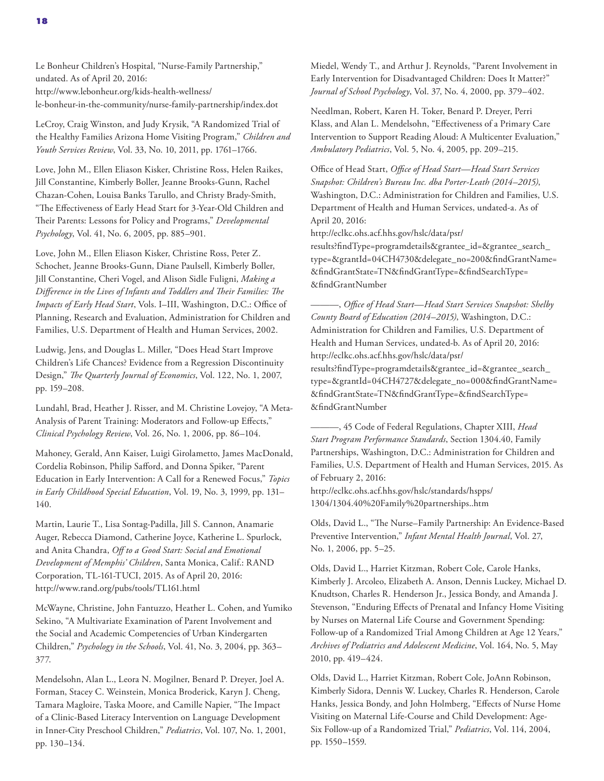Le Bonheur Children's Hospital, "Nurse-Family Partnership," undated. As of April 20, 2016: http://www.lebonheur.org/kids-health-wellness/ [le-bonheur-in-the-community/nurse-family-partnership/index.dot](http://www.lebonheur.org/kids-health-wellness/le-bonheur-in-the-community/nurse-family-partnership/index.dot) 

LeCroy, Craig Winston, and Judy Krysik, "A Randomized Trial of the Healthy Families Arizona Home Visiting Program," *Children and Youth Services Review*, Vol. 33, No. 10, 2011, pp. 1761–1766.

Love, John M., Ellen Eliason Kisker, Christine Ross, Helen Raikes, Jill Constantine, Kimberly Boller, Jeanne Brooks-Gunn, Rachel Chazan-Cohen, Louisa Banks Tarullo, and Christy Brady-Smith, "The Effectiveness of Early Head Start for 3-Year-Old Children and Their Parents: Lessons for Policy and Programs," *Developmental Psychology*, Vol. 41, No. 6, 2005, pp. 885–901.

Love, John M., Ellen Eliason Kisker, Christine Ross, Peter Z. Schochet, Jeanne Brooks-Gunn, Diane Paulsell, Kimberly Boller, Jill Constantine, Cheri Vogel, and Alison Sidle Fuligni, *Making a Difference in the Lives of Infants and Toddlers and Their Families: The Impacts of Early Head Start*, Vols. I–III, Washington, D.C.: Office of Planning, Research and Evaluation, Administration for Children and Families, U.S. Department of Health and Human Services, 2002.

Ludwig, Jens, and Douglas L. Miller, "Does Head Start Improve Children's Life Chances? Evidence from a Regression Discontinuity Design," *The Quarterly Journal of Economics*, Vol. 122, No. 1, 2007, pp. 159–208.

Lundahl, Brad, Heather J. Risser, and M. Christine Lovejoy, "A Meta-Analysis of Parent Training: Moderators and Follow-up Effects," *Clinical Psychology Review*, Vol. 26, No. 1, 2006, pp. 86–104.

Mahoney, Gerald, Ann Kaiser, Luigi Girolametto, James MacDonald, Cordelia Robinson, Philip Safford, and Donna Spiker, "Parent Education in Early Intervention: A Call for a Renewed Focus," *Topics in Early Childhood Special Education*, Vol. 19, No. 3, 1999, pp. 131– 140.

Martin, Laurie T., Lisa Sontag-Padilla, Jill S. Cannon, Anamarie Auger, Rebecca Diamond, Catherine Joyce, Katherine L. Spurlock, and Anita Chandra, *Off to a Good Start: Social and Emotional Development of Memphis' Children*, Santa Monica, Calif.: RAND Corporation, TL-161-TUCI, 2015. As of April 20, 2016: <http://www.rand.org/pubs/tools/TL161.html>

McWayne, Christine, John Fantuzzo, Heather L. Cohen, and Yumiko Sekino, "A Multivariate Examination of Parent Involvement and the Social and Academic Competencies of Urban Kindergarten Children," *Psychology in the Schools*, Vol. 41, No. 3, 2004, pp. 363– 377.

Mendelsohn, Alan L., Leora N. Mogilner, Benard P. Dreyer, Joel A. Forman, Stacey C. Weinstein, Monica Broderick, Karyn J. Cheng, Tamara Magloire, Taska Moore, and Camille Napier, "The Impact of a Clinic-Based Literacy Intervention on Language Development in Inner-City Preschool Children," *Pediatrics*, Vol. 107, No. 1, 2001, pp. 130–134.

Miedel, Wendy T., and Arthur J. Reynolds, "Parent Involvement in Early Intervention for Disadvantaged Children: Does It Matter?" *Journal of School Psychology*, Vol. 37, No. 4, 2000, pp. 379–402.

Needlman, Robert, Karen H. Toker, Benard P. Dreyer, Perri Klass, and Alan L. Mendelsohn, "Effectiveness of a Primary Care Intervention to Support Reading Aloud: A Multicenter Evaluation," *Ambulatory Pediatrics*, Vol. 5, No. 4, 2005, pp. 209–215.

Office of Head Start, *Office of Head Start—Head Start Services Snapshot: Children's Bureau Inc. dba Porter-Leath (2014–2015)*, Washington, D.C.: Administration for Children and Families, U.S. Department of Health and Human Services, undated-a. As of April 20, 2016:

http://eclkc.ohs.acf.hhs.gov/hslc/data/psr/

results?findType=programdetails&grantee\_id=&grantee\_search\_ [type=&grantId=04CH4730&delegate\\_no=200&findGrantName=](http://eclkc.ohs.acf.hhs.gov/hslc/data/psr/results?findType=programdetails&grantee_id=&grantee_search_type=&grantId=04CH4730&delegate_no=200&findGrantName=&findGrantState=TN&findGrantType=&findSearchType=&findGrantNumber) &findGrantState=TN&findGrantType=&findSearchType= &findGrantNumber

———, *Office of Head Start—Head Start Services Snapshot: Shelby County Board of Education (2014–2015)*, Washington, D.C.: Administration for Children and Families, U.S. Department of Health and Human Services, undated-b. As of April 20, 2016: http://eclkc.ohs.acf.hhs.gov/hslc/data/psr/ results?findType=programdetails&grantee\_id=&grantee\_search\_ [type=&grantId=04CH4727&delegate\\_no=000&findGrantName=](http://eclkc.ohs.acf.hhs.gov/hslc/data/psr/results?findType=programdetails&grantee_id=&grantee_search_type=&grantId=04CH4727&delegate_no=000&findGrantName=&findGrantState=TN&findGrantType=&findSearchType=&findGrantNumber) &findGrantState=TN&findGrantType=&findSearchType= &findGrantNumber

———, 45 Code of Federal Regulations, Chapter XIII, *Head Start Program Performance Standards*, Section 1304.40, Family Partnerships, Washington, D.C.: Administration for Children and Families, U.S. Department of Health and Human Services, 2015. As of February 2, 2016:

[http://eclkc.ohs.acf.hhs.gov/hslc/standards/hspps/](http://eclkc.ohs.acf.hhs.gov/hslc/standards/hspps/1304/1304.40%20Family%20partnerships..htm) 1304/1304.40%20Family%20partnerships..htm

Olds, David L., "The Nurse–Family Partnership: An Evidence‐Based Preventive Intervention," *Infant Mental Health Journal*, Vol. 27, No. 1, 2006, pp. 5–25.

Olds, David L., Harriet Kitzman, Robert Cole, Carole Hanks, Kimberly J. Arcoleo, Elizabeth A. Anson, Dennis Luckey, Michael D. Knudtson, Charles R. Henderson Jr., Jessica Bondy, and Amanda J. Stevenson, "Enduring Effects of Prenatal and Infancy Home Visiting by Nurses on Maternal Life Course and Government Spending: Follow-up of a Randomized Trial Among Children at Age 12 Years," *Archives of Pediatrics and Adolescent Medicine*, Vol. 164, No. 5, May 2010, pp. 419–424.

Olds, David L., Harriet Kitzman, Robert Cole, JoAnn Robinson, Kimberly Sidora, Dennis W. Luckey, Charles R. Henderson, Carole Hanks, Jessica Bondy, and John Holmberg, "Effects of Nurse Home Visiting on Maternal Life-Course and Child Development: Age-Six Follow-up of a Randomized Trial," *Pediatrics*, Vol. 114, 2004, pp. 1550–1559.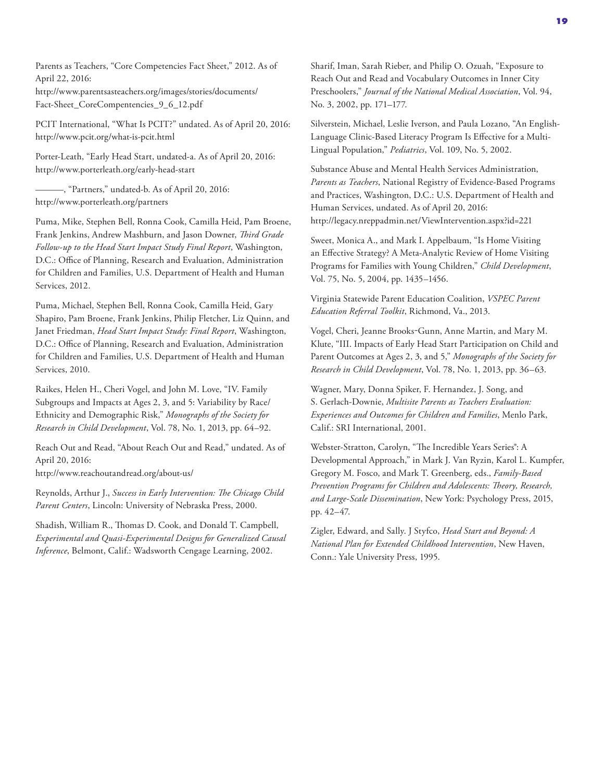Parents as Teachers, "Core Competencies Fact Sheet," 2012. As of April 22, 2016: [http://www.parentsasteachers.org/images/stories/documents/](http://www.parentsasteachers.org/images/stories/documents/Fact-Sheet_CoreCompentencies_9_6_12.pdf)

Fact-Sheet\_CoreCompentencies\_9\_6\_12.pdf

PCIT International, "What Is PCIT?" undated. As of April 20, 2016: <http://www.pcit.org/what-is-pcit.html>

Porter-Leath, "Early Head Start, undated-a. As of April 20, 2016: <http://www.porterleath.org/early-head-start>

-, "Partners," undated-b. As of April 20, 2016: <http://www.porterleath.org/partners>

Puma, Mike, Stephen Bell, Ronna Cook, Camilla Heid, Pam Broene, Frank Jenkins, Andrew Mashburn, and Jason Downer, *Third Grade Follow-up to the Head Start Impact Study Final Report*, Washington, D.C.: Office of Planning, Research and Evaluation, Administration for Children and Families, U.S. Department of Health and Human Services, 2012.

Puma, Michael, Stephen Bell, Ronna Cook, Camilla Heid, Gary Shapiro, Pam Broene, Frank Jenkins, Philip Fletcher, Liz Quinn, and Janet Friedman, *Head Start Impact Study: Final Report*, Washington, D.C.: Office of Planning, Research and Evaluation, Administration for Children and Families, U.S. Department of Health and Human Services, 2010.

Raikes, Helen H., Cheri Vogel, and John M. Love, "IV. Family Subgroups and Impacts at Ages 2, 3, and 5: Variability by Race/ Ethnicity and Demographic Risk," *Monographs of the Society for Research in Child Development*, Vol. 78, No. 1, 2013, pp. 64–92.

Reach Out and Read, "About Reach Out and Read," undated. As of April 20, 2016:

<http://www.reachoutandread.org/about-us/>

Reynolds, Arthur J., *Success in Early Intervention: The Chicago Child Parent Centers*, Lincoln: University of Nebraska Press, 2000.

Shadish, William R., Thomas D. Cook, and Donald T. Campbell, *Experimental and Quasi-Experimental Designs for Generalized Causal Inference*, Belmont, Calif.: Wadsworth Cengage Learning, 2002.

Sharif, Iman, Sarah Rieber, and Philip O. Ozuah, "Exposure to Reach Out and Read and Vocabulary Outcomes in Inner City Preschoolers," *Journal of the National Medical Association*, Vol. 94, No. 3, 2002, pp. 171–177.

Silverstein, Michael, Leslie Iverson, and Paula Lozano, "An English-Language Clinic-Based Literacy Program Is Effective for a Multi-Lingual Population," *Pediatrics*, Vol. 109, No. 5, 2002.

Substance Abuse and Mental Health Services Administration, *Parents as Teachers*, National Registry of Evidence-Based Programs and Practices, Washington, D.C.: U.S. Department of Health and Human Services, undated. As of April 20, 2016: <http://legacy.nreppadmin.net/ViewIntervention.aspx?id=221>

Sweet, Monica A., and Mark I. Appelbaum, "Is Home Visiting an Effective Strategy? A Meta‐Analytic Review of Home Visiting Programs for Families with Young Children," *Child Development*, Vol. 75, No. 5, 2004, pp. 1435–1456.

Virginia Statewide Parent Education Coalition, *VSPEC Parent Education Referral Toolkit*, Richmond, Va., 2013.

Vogel, Cheri, Jeanne Brooks‐Gunn, Anne Martin, and Mary M. Klute, "III. Impacts of Early Head Start Participation on Child and Parent Outcomes at Ages 2, 3, and 5," *Monographs of the Society for Research in Child Development*, Vol. 78, No. 1, 2013, pp. 36–63.

Wagner, Mary, Donna Spiker, F. Hernandez, J. Song, and S. Gerlach-Downie, *Multisite Parents as Teachers Evaluation: Experiences and Outcomes for Children and Families*, Menlo Park, Calif.: SRI International, 2001.

Webster-Stratton, Carolyn, "The Incredible Years Series<sup>®</sup>: A Developmental Approach," in Mark J. Van Ryzin, Karol L. Kumpfer, Gregory M. Fosco, and Mark T. Greenberg, eds., *Family-Based Prevention Programs for Children and Adolescents: Theory, Research, and Large-Scale Dissemination*, New York: Psychology Press, 2015, pp. 42–47.

Zigler, Edward, and Sally. J Styfco, *Head Start and Beyond: A National Plan for Extended Childhood Intervention*, New Haven, Conn.: Yale University Press, 1995.